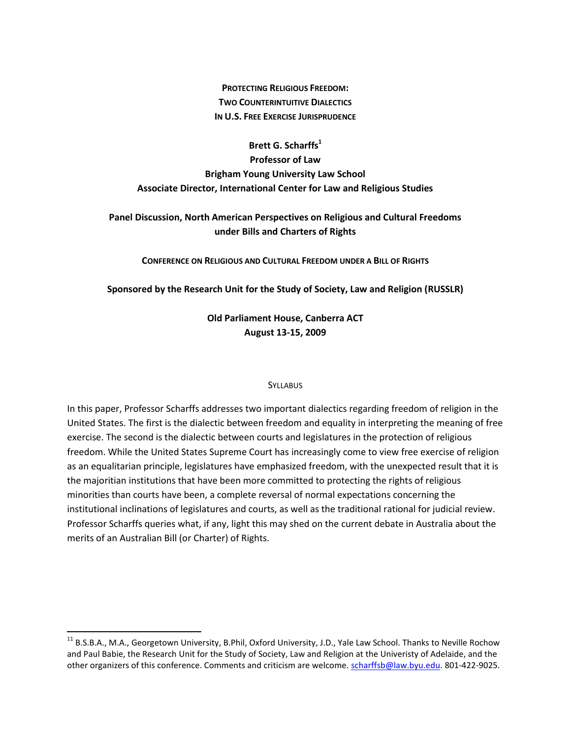**PROTECTING RELIGIOUS FREEDOM: TWO COUNTERINTUITIVE DIALECTICS IN U.S. FREE EXERCISE JURISPRUDENCE**

# **Brett G. Scharffs<sup>1</sup> Professor of Law Brigham Young University Law School Associate Director, International Center for Law and Religious Studies**

### **Panel Discussion, North American Perspectives on Religious and Cultural Freedoms under Bills and Charters of Rights**

**CONFERENCE ON RELIGIOUS AND CULTURAL FREEDOM UNDER A BILL OF RIGHTS**

**Sponsored by the Research Unit for the Study of Society, Law and Religion (RUSSLR)**

**Old Parliament House, Canberra ACT August 13-15, 2009**

#### **SYLLABUS**

In this paper, Professor Scharffs addresses two important dialectics regarding freedom of religion in the United States. The first is the dialectic between freedom and equality in interpreting the meaning of free exercise. The second is the dialectic between courts and legislatures in the protection of religious freedom. While the United States Supreme Court has increasingly come to view free exercise of religion as an equalitarian principle, legislatures have emphasized freedom, with the unexpected result that it is the majoritian institutions that have been more committed to protecting the rights of religious minorities than courts have been, a complete reversal of normal expectations concerning the institutional inclinations of legislatures and courts, as well as the traditional rational for judicial review. Professor Scharffs queries what, if any, light this may shed on the current debate in Australia about the merits of an Australian Bill (or Charter) of Rights.

<sup>&</sup>lt;sup>11</sup> B.S.B.A., M.A., Georgetown University, B.Phil, Oxford University, J.D., Yale Law School. Thanks to Neville Rochow and Paul Babie, the Research Unit for the Study of Society, Law and Religion at the Univeristy of Adelaide, and the other organizers of this conference. Comments and criticism are welcome[. scharffsb@law.byu.edu.](mailto:scharffsb@law.byu.edu) 801-422-9025.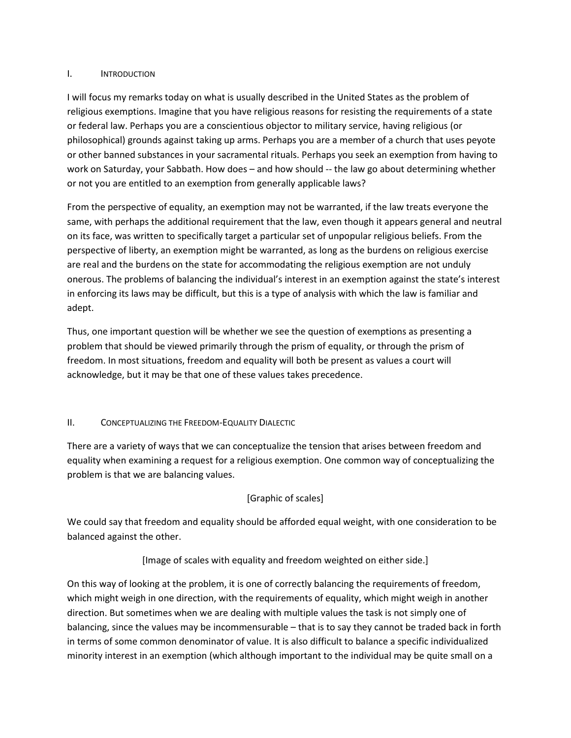#### I. INTRODUCTION

I will focus my remarks today on what is usually described in the United States as the problem of religious exemptions. Imagine that you have religious reasons for resisting the requirements of a state or federal law. Perhaps you are a conscientious objector to military service, having religious (or philosophical) grounds against taking up arms. Perhaps you are a member of a church that uses peyote or other banned substances in your sacramental rituals. Perhaps you seek an exemption from having to work on Saturday, your Sabbath. How does – and how should -- the law go about determining whether or not you are entitled to an exemption from generally applicable laws?

From the perspective of equality, an exemption may not be warranted, if the law treats everyone the same, with perhaps the additional requirement that the law, even though it appears general and neutral on its face, was written to specifically target a particular set of unpopular religious beliefs. From the perspective of liberty, an exemption might be warranted, as long as the burdens on religious exercise are real and the burdens on the state for accommodating the religious exemption are not unduly onerous. The problems of balancing the individual's interest in an exemption against the state's interest in enforcing its laws may be difficult, but this is a type of analysis with which the law is familiar and adept.

Thus, one important question will be whether we see the question of exemptions as presenting a problem that should be viewed primarily through the prism of equality, or through the prism of freedom. In most situations, freedom and equality will both be present as values a court will acknowledge, but it may be that one of these values takes precedence.

#### II. CONCEPTUALIZING THE FREEDOM-EQUALITY DIALECTIC

There are a variety of ways that we can conceptualize the tension that arises between freedom and equality when examining a request for a religious exemption. One common way of conceptualizing the problem is that we are balancing values.

#### [Graphic of scales]

We could say that freedom and equality should be afforded equal weight, with one consideration to be balanced against the other.

[Image of scales with equality and freedom weighted on either side.]

On this way of looking at the problem, it is one of correctly balancing the requirements of freedom, which might weigh in one direction, with the requirements of equality, which might weigh in another direction. But sometimes when we are dealing with multiple values the task is not simply one of balancing, since the values may be incommensurable – that is to say they cannot be traded back in forth in terms of some common denominator of value. It is also difficult to balance a specific individualized minority interest in an exemption (which although important to the individual may be quite small on a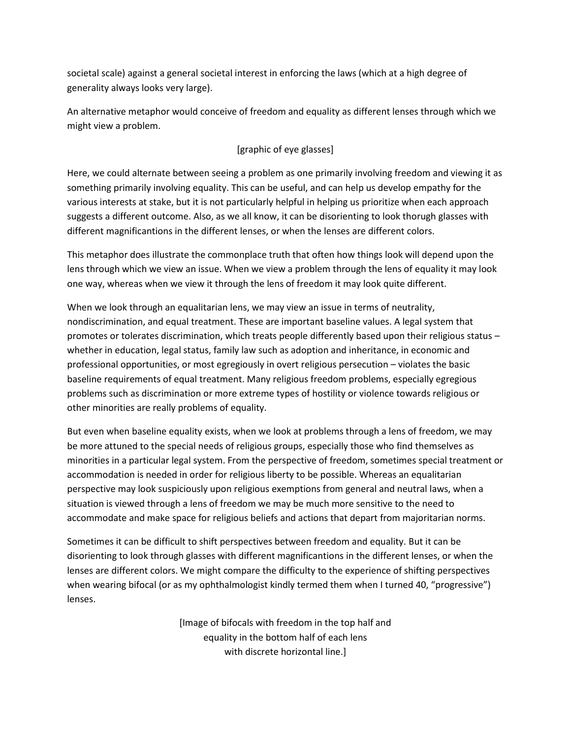societal scale) against a general societal interest in enforcing the laws (which at a high degree of generality always looks very large).

An alternative metaphor would conceive of freedom and equality as different lenses through which we might view a problem.

### [graphic of eye glasses]

Here, we could alternate between seeing a problem as one primarily involving freedom and viewing it as something primarily involving equality. This can be useful, and can help us develop empathy for the various interests at stake, but it is not particularly helpful in helping us prioritize when each approach suggests a different outcome. Also, as we all know, it can be disorienting to look thorugh glasses with different magnificantions in the different lenses, or when the lenses are different colors.

This metaphor does illustrate the commonplace truth that often how things look will depend upon the lens through which we view an issue. When we view a problem through the lens of equality it may look one way, whereas when we view it through the lens of freedom it may look quite different.

When we look through an equalitarian lens, we may view an issue in terms of neutrality, nondiscrimination, and equal treatment. These are important baseline values. A legal system that promotes or tolerates discrimination, which treats people differently based upon their religious status – whether in education, legal status, family law such as adoption and inheritance, in economic and professional opportunities, or most egregiously in overt religious persecution – violates the basic baseline requirements of equal treatment. Many religious freedom problems, especially egregious problems such as discrimination or more extreme types of hostility or violence towards religious or other minorities are really problems of equality.

But even when baseline equality exists, when we look at problems through a lens of freedom, we may be more attuned to the special needs of religious groups, especially those who find themselves as minorities in a particular legal system. From the perspective of freedom, sometimes special treatment or accommodation is needed in order for religious liberty to be possible. Whereas an equalitarian perspective may look suspiciously upon religious exemptions from general and neutral laws, when a situation is viewed through a lens of freedom we may be much more sensitive to the need to accommodate and make space for religious beliefs and actions that depart from majoritarian norms.

Sometimes it can be difficult to shift perspectives between freedom and equality. But it can be disorienting to look through glasses with different magnificantions in the different lenses, or when the lenses are different colors. We might compare the difficulty to the experience of shifting perspectives when wearing bifocal (or as my ophthalmologist kindly termed them when I turned 40, "progressive") lenses.

> [Image of bifocals with freedom in the top half and equality in the bottom half of each lens with discrete horizontal line.]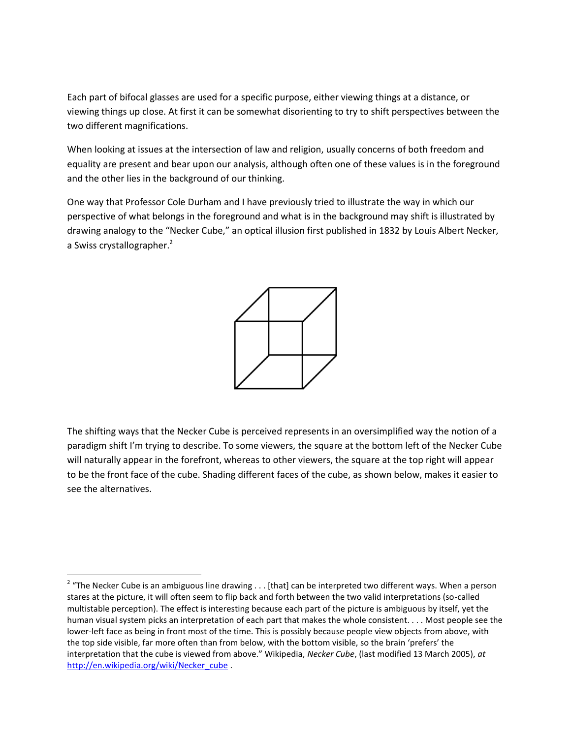Each part of bifocal glasses are used for a specific purpose, either viewing things at a distance, or viewing things up close. At first it can be somewhat disorienting to try to shift perspectives between the two different magnifications.

When looking at issues at the intersection of law and religion, usually concerns of both freedom and equality are present and bear upon our analysis, although often one of these values is in the foreground and the other lies in the background of our thinking.

One way that Professor Cole Durham and I have previously tried to illustrate the way in which our perspective of what belongs in the foreground and what is in the background may shift is illustrated by drawing analogy to the "Necker Cube," an optical illusion first published in 1832 by Louis Albert Necker, a Swiss crystallographer.<sup>2</sup>



The shifting ways that the Necker Cube is perceived represents in an oversimplified way the notion of a paradigm shift I'm trying to describe. To some viewers, the square at the bottom left of the Necker Cube will naturally appear in the forefront, whereas to other viewers, the square at the top right will appear to be the front face of the cube. Shading different faces of the cube, as shown below, makes it easier to see the alternatives.

<sup>&</sup>lt;u>.</u><br><sup>2</sup> "The Necker Cube is an ambiguous line drawing . . . [that] can be interpreted two different ways. When a person stares at the picture, it will often seem to flip back and forth between the two valid interpretations (so-called multistable perception). The effect is interesting because each part of the picture is ambiguous by itself, yet the human visual system picks an interpretation of each part that makes the whole consistent. . . . Most people see the lower-left face as being in front most of the time. This is possibly because people view objects from above, with the top side visible, far more often than from below, with the bottom visible, so the brain 'prefers' the interpretation that the cube is viewed from above." Wikipedia, *Necker Cube*, (last modified 13 March 2005), *at*  [http://en.wikipedia.org/wiki/Necker\\_cube](http://en.wikipedia.org/wiki/Necker_cube) .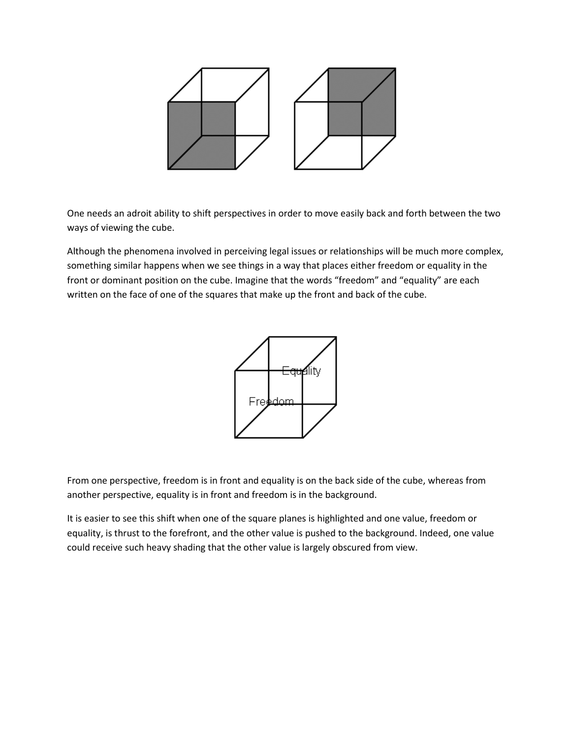

One needs an adroit ability to shift perspectives in order to move easily back and forth between the two ways of viewing the cube.

Although the phenomena involved in perceiving legal issues or relationships will be much more complex, something similar happens when we see things in a way that places either freedom or equality in the front or dominant position on the cube. Imagine that the words "freedom" and "equality" are each written on the face of one of the squares that make up the front and back of the cube.



From one perspective, freedom is in front and equality is on the back side of the cube, whereas from another perspective, equality is in front and freedom is in the background.

It is easier to see this shift when one of the square planes is highlighted and one value, freedom or equality, is thrust to the forefront, and the other value is pushed to the background. Indeed, one value could receive such heavy shading that the other value is largely obscured from view.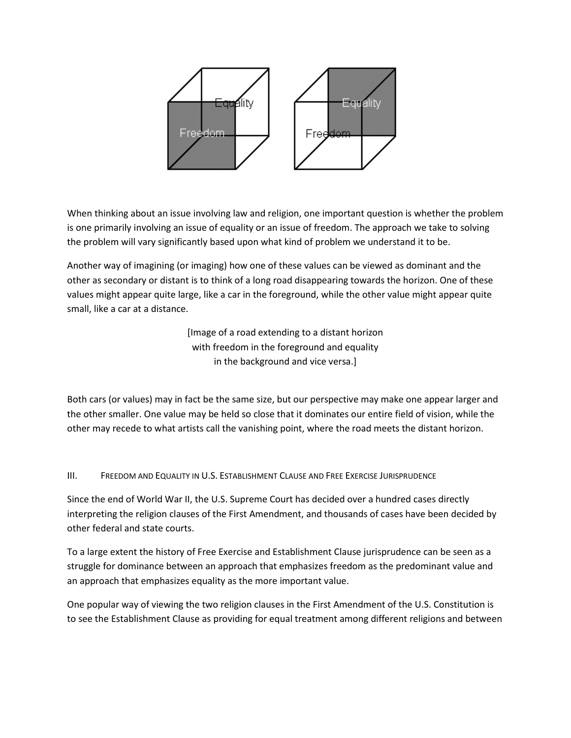

When thinking about an issue involving law and religion, one important question is whether the problem is one primarily involving an issue of equality or an issue of freedom. The approach we take to solving the problem will vary significantly based upon what kind of problem we understand it to be.

Another way of imagining (or imaging) how one of these values can be viewed as dominant and the other as secondary or distant is to think of a long road disappearing towards the horizon. One of these values might appear quite large, like a car in the foreground, while the other value might appear quite small, like a car at a distance.

> [Image of a road extending to a distant horizon with freedom in the foreground and equality in the background and vice versa.]

Both cars (or values) may in fact be the same size, but our perspective may make one appear larger and the other smaller. One value may be held so close that it dominates our entire field of vision, while the other may recede to what artists call the vanishing point, where the road meets the distant horizon.

III. FREEDOM AND EQUALITY IN U.S. ESTABLISHMENT CLAUSE AND FREE EXERCISE JURISPRUDENCE

Since the end of World War II, the U.S. Supreme Court has decided over a hundred cases directly interpreting the religion clauses of the First Amendment, and thousands of cases have been decided by other federal and state courts.

To a large extent the history of Free Exercise and Establishment Clause jurisprudence can be seen as a struggle for dominance between an approach that emphasizes freedom as the predominant value and an approach that emphasizes equality as the more important value.

One popular way of viewing the two religion clauses in the First Amendment of the U.S. Constitution is to see the Establishment Clause as providing for equal treatment among different religions and between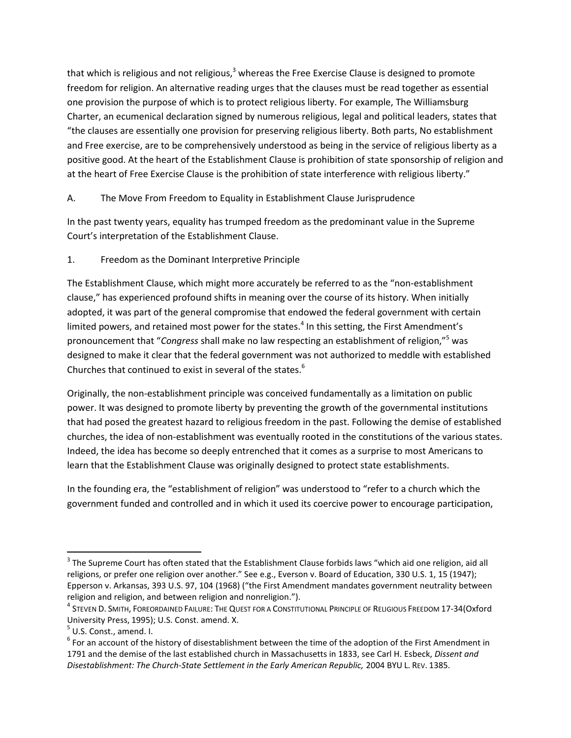that which is religious and not religious, $3\overline{}$  whereas the Free Exercise Clause is designed to promote freedom for religion. An alternative reading urges that the clauses must be read together as essential one provision the purpose of which is to protect religious liberty. For example, The Williamsburg Charter, an ecumenical declaration signed by numerous religious, legal and political leaders, states that "the clauses are essentially one provision for preserving religious liberty. Both parts, No establishment and Free exercise, are to be comprehensively understood as being in the service of religious liberty as a positive good. At the heart of the Establishment Clause is prohibition of state sponsorship of religion and at the heart of Free Exercise Clause is the prohibition of state interference with religious liberty."

### A. The Move From Freedom to Equality in Establishment Clause Jurisprudence

In the past twenty years, equality has trumped freedom as the predominant value in the Supreme Court's interpretation of the Establishment Clause.

### 1. Freedom as the Dominant Interpretive Principle

The Establishment Clause, which might more accurately be referred to as the "non-establishment clause," has experienced profound shifts in meaning over the course of its history. When initially adopted, it was part of the general compromise that endowed the federal government with certain limited powers, and retained most power for the states.<sup>4</sup> In this setting, the First Amendment's pronouncement that "*Congress* shall make no law respecting an establishment of religion,"<sup>5</sup> was designed to make it clear that the federal government was not authorized to meddle with established Churches that continued to exist in several of the states.<sup>6</sup>

Originally, the non-establishment principle was conceived fundamentally as a limitation on public power. It was designed to promote liberty by preventing the growth of the governmental institutions that had posed the greatest hazard to religious freedom in the past. Following the demise of established churches, the idea of non-establishment was eventually rooted in the constitutions of the various states. Indeed, the idea has become so deeply entrenched that it comes as a surprise to most Americans to learn that the Establishment Clause was originally designed to protect state establishments.

In the founding era, the "establishment of religion" was understood to "refer to a church which the government funded and controlled and in which it used its coercive power to encourage participation,

 $3$  The Supreme Court has often stated that the Establishment Clause forbids laws "which aid one religion, aid all religions, or prefer one religion over another." See e.g., Everson v. Board of Education, 330 U.S. 1, 15 (1947); Epperson v. Arkansas, 393 U.S. 97, 104 (1968) ("the First Amendment mandates government neutrality between religion and religion, and between religion and nonreligion.").

 $^4$  Steven D. Smith, Foreordained Failure: The Quest for a Constitutional Principle of Religious Freedom 17-34(Oxford University Press, 1995); U.S. Const. amend. X.

<sup>&</sup>lt;sup>5</sup> U.S. Const., amend. I.

 $^6$  For an account of the history of disestablishment between the time of the adoption of the First Amendment in 1791 and the demise of the last established church in Massachusetts in 1833, see Carl H. Esbeck, *Dissent and Disestablishment: The Church-State Settlement in the Early American Republic,* 2004 BYU L. REV. 1385.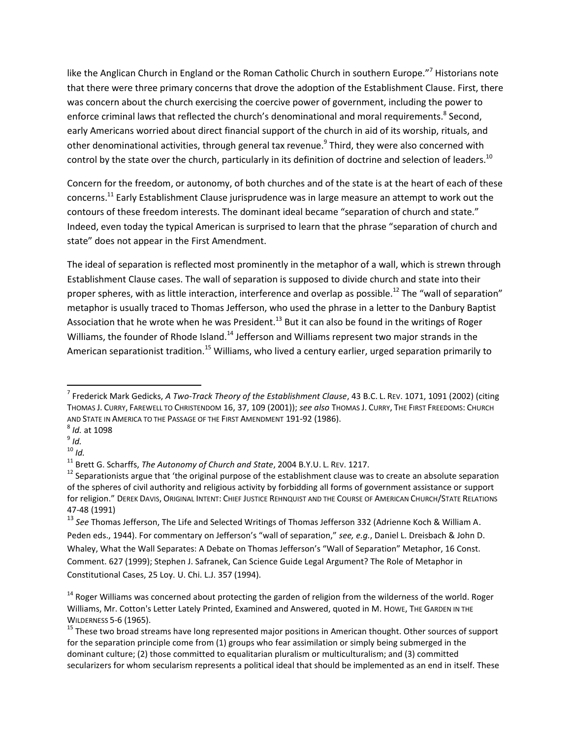like the Anglican Church in England or the Roman Catholic Church in southern Europe."<sup>7</sup> Historians note that there were three primary concerns that drove the adoption of the Establishment Clause. First, there was concern about the church exercising the coercive power of government, including the power to enforce criminal laws that reflected the church's denominational and moral requirements.<sup>8</sup> Second, early Americans worried about direct financial support of the church in aid of its worship, rituals, and other denominational activities, through general tax revenue.<sup>9</sup> Third, they were also concerned with control by the state over the church, particularly in its definition of doctrine and selection of leaders.<sup>10</sup>

Concern for the freedom, or autonomy, of both churches and of the state is at the heart of each of these concerns.<sup>11</sup> Early Establishment Clause jurisprudence was in large measure an attempt to work out the contours of these freedom interests. The dominant ideal became "separation of church and state." Indeed, even today the typical American is surprised to learn that the phrase "separation of church and state" does not appear in the First Amendment.

The ideal of separation is reflected most prominently in the metaphor of a wall, which is strewn through Establishment Clause cases. The wall of separation is supposed to divide church and state into their proper spheres, with as little interaction, interference and overlap as possible.<sup>12</sup> The "wall of separation" metaphor is usually traced to Thomas Jefferson, who used the phrase in a letter to the Danbury Baptist Association that he wrote when he was President.<sup>13</sup> But it can also be found in the writings of Roger Williams, the founder of Rhode Island.<sup>14</sup> Jefferson and Williams represent two major strands in the American separationist tradition.<sup>15</sup> Williams, who lived a century earlier, urged separation primarily to

l

<sup>7</sup> Frederick Mark Gedicks, *A Two-Track Theory of the Establishment Clause*, 43 B.C. L. REV. 1071, 1091 (2002) (citing THOMAS J. CURRY, FAREWELL TO CHRISTENDOM 16, 37, 109 (2001)); *see also* THOMAS J. CURRY, THE FIRST FREEDOMS: CHURCH AND STATE IN AMERICA TO THE PASSAGE OF THE FIRST AMENDMENT 191-92 (1986).

<sup>8</sup> *Id.* at 1098

<sup>9</sup> *Id.*

<sup>10</sup> *Id.*

<sup>11</sup> Brett G. Scharffs, *The Autonomy of Church and State*, 2004 B.Y.U. L. REV. 1217.

 $12$  Separationists argue that 'the original purpose of the establishment clause was to create an absolute separation of the spheres of civil authority and religious activity by forbidding all forms of government assistance or support for religion." DEREK DAVIS, ORIGINAL INTENT: CHIEF JUSTICE REHNQUIST AND THE COURSE OF AMERICAN CHURCH/STATE RELATIONS 47-48 (1991)

<sup>13</sup> *See* Thomas Jefferson, The Life and Selected Writings of Thomas Jefferson 332 (Adrienne Koch & William A. Peden eds., 1944). For commentary on Jefferson's "wall of separation," *see, e.g.*, Daniel L. Dreisbach & John D. Whaley, What the Wall Separates: A Debate on Thomas Jefferson's "Wall of Separation" Metaphor, 16 Const. Comment. 627 (1999); Stephen J. Safranek, Can Science Guide Legal Argument? The Role of Metaphor in Constitutional Cases, 25 Loy. U. Chi. L.J. 357 (1994).

 $14$  Roger Williams was concerned about protecting the garden of religion from the wilderness of the world. Roger Williams, Mr. Cotton's Letter Lately Printed, Examined and Answered, quoted in M. HOWE, THE GARDEN IN THE WILDERNESS 5-6 (1965).

<sup>&</sup>lt;sup>15</sup> These two broad streams have long represented major positions in American thought. Other sources of support for the separation principle come from (1) groups who fear assimilation or simply being submerged in the dominant culture; (2) those committed to equalitarian pluralism or multiculturalism; and (3) committed secularizers for whom secularism represents a political ideal that should be implemented as an end in itself. These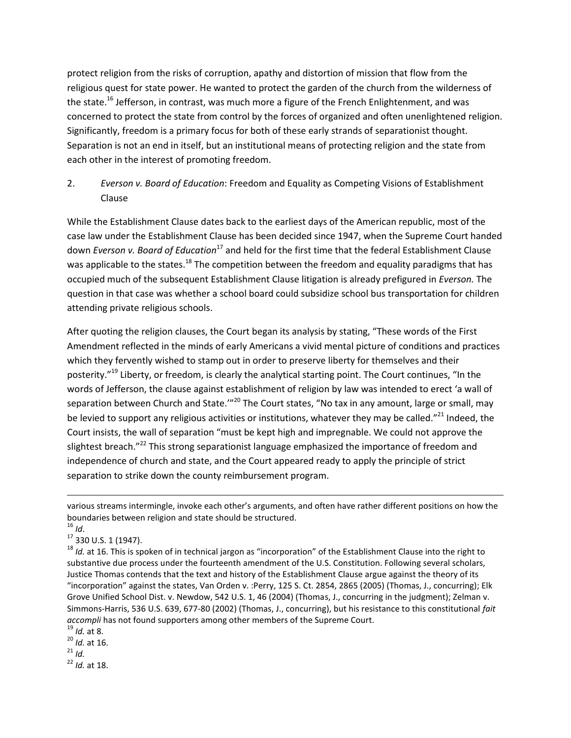protect religion from the risks of corruption, apathy and distortion of mission that flow from the religious quest for state power. He wanted to protect the garden of the church from the wilderness of the state.<sup>16</sup> Jefferson, in contrast, was much more a figure of the French Enlightenment, and was concerned to protect the state from control by the forces of organized and often unenlightened religion. Significantly, freedom is a primary focus for both of these early strands of separationist thought. Separation is not an end in itself, but an institutional means of protecting religion and the state from each other in the interest of promoting freedom.

2. *Everson v. Board of Education*: Freedom and Equality as Competing Visions of Establishment Clause

While the Establishment Clause dates back to the earliest days of the American republic, most of the case law under the Establishment Clause has been decided since 1947, when the Supreme Court handed down *Everson v. Board of Education*<sup>17</sup> and held for the first time that the federal Establishment Clause was applicable to the states.<sup>18</sup> The competition between the freedom and equality paradigms that has occupied much of the subsequent Establishment Clause litigation is already prefigured in *Everson.* The question in that case was whether a school board could subsidize school bus transportation for children attending private religious schools.

After quoting the religion clauses, the Court began its analysis by stating, "These words of the First Amendment reflected in the minds of early Americans a vivid mental picture of conditions and practices which they fervently wished to stamp out in order to preserve liberty for themselves and their posterity."<sup>19</sup> Liberty, or freedom, is clearly the analytical starting point. The Court continues, "In the words of Jefferson, the clause against establishment of religion by law was intended to erect 'a wall of separation between Church and State."<sup>20</sup> The Court states, "No tax in any amount, large or small, may be levied to support any religious activities or institutions, whatever they may be called."<sup>21</sup> Indeed, the Court insists, the wall of separation "must be kept high and impregnable. We could not approve the slightest breach."<sup>22</sup> This strong separationist language emphasized the importance of freedom and independence of church and state, and the Court appeared ready to apply the principle of strict separation to strike down the county reimbursement program.

various streams intermingle, invoke each other's arguments, and often have rather different positions on how the boundaries between religion and state should be structured.

 $16$  *Id.* 

<sup>17</sup> 330 U.S. 1 (1947).

<sup>&</sup>lt;sup>18</sup> *Id.* at 16. This is spoken of in technical jargon as "incorporation" of the Establishment Clause into the right to substantive due process under the fourteenth amendment of the U.S. Constitution. Following several scholars, Justice Thomas contends that the text and history of the Establishment Clause argue against the theory of its "incorporation" against the states, Van Orden v. :Perry, 125 S. Ct. 2854, 2865 (2005) (Thomas, J., concurring); Elk Grove Unified School Dist. v. Newdow, 542 U.S. 1, 46 (2004) (Thomas, J., concurring in the judgment); Zelman v. Simmons-Harris, 536 U.S. 639, 677-80 (2002) (Thomas, J., concurring), but his resistance to this constitutional *fait accompli* has not found supporters among other members of the Supreme Court.

<sup>19</sup> *Id.* at 8.

<sup>20</sup> *Id.* at 16.

 $^{21}$  *Id*.

<sup>22</sup> *Id.* at 18.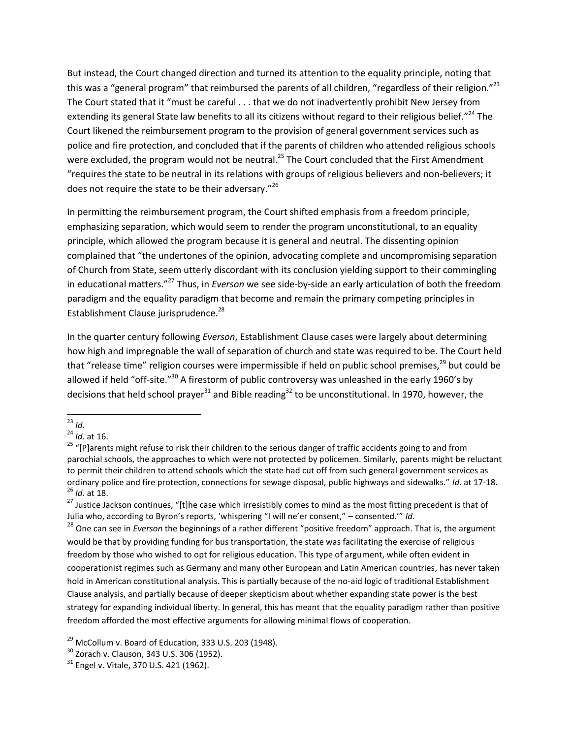But instead, the Court changed direction and turned its attention to the equality principle, noting that this was a "general program" that reimbursed the parents of all children, "regardless of their religion."<sup>23</sup> The Court stated that it "must be careful . . . that we do not inadvertently prohibit New Jersey from extending its general State law benefits to all its citizens without regard to their religious belief."<sup>24</sup> The Court likened the reimbursement program to the provision of general government services such as police and fire protection, and concluded that if the parents of children who attended religious schools were excluded, the program would not be neutral.<sup>25</sup> The Court concluded that the First Amendment "requires the state to be neutral in its relations with groups of religious believers and non-believers; it does not require the state to be their adversary."26

In permitting the reimbursement program, the Court shifted emphasis from a freedom principle, emphasizing separation, which would seem to render the program unconstitutional, to an equality principle, which allowed the program because it is general and neutral. The dissenting opinion complained that "the undertones of the opinion, advocating complete and uncompromising separation of Church from State, seem utterly discordant with its conclusion yielding support to their commingling in educational matters."<sup>27</sup> Thus, in *Everson* we see side-by-side an early articulation of both the freedom paradigm and the equality paradigm that become and remain the primary competing principles in Establishment Clause jurisprudence.<sup>28</sup>

In the quarter century following *Everson*, Establishment Clause cases were largely about determining how high and impregnable the wall of separation of church and state was required to be. The Court held that "release time" religion courses were impermissible if held on public school premises, $^{29}$  but could be allowed if held "off-site."<sup>30</sup> A firestorm of public controversy was unleashed in the early 1960's by decisions that held school prayer<sup>31</sup> and Bible reading<sup>32</sup> to be unconstitutional. In 1970, however, the

 $\overline{a}$ <sup>23</sup> *Id.*

<sup>24</sup> *Id.* at 16.

<sup>&</sup>lt;sup>25</sup> "[P]arents might refuse to risk their children to the serious danger of traffic accidents going to and from parochial schools, the approaches to which were not protected by policemen. Similarly, parents might be reluctant to permit their children to attend schools which the state had cut off from such general government services as ordinary police and fire protection, connections for sewage disposal, public highways and sidewalks." *Id.* at 17-18. <sup>26</sup> *Id.* at 18.

<sup>&</sup>lt;sup>27</sup> Justice Jackson continues, "[t]he case which irresistibly comes to mind as the most fitting precedent is that of Julia who, according to Byron's reports, 'whispering "I will ne'er consent," – consented.'" *Id.*

<sup>28</sup> One can see in *Everson* the beginnings of a rather different "positive freedom" approach. That is, the argument would be that by providing funding for bus transportation, the state was facilitating the exercise of religious freedom by those who wished to opt for religious education. This type of argument, while often evident in cooperationist regimes such as Germany and many other European and Latin American countries, has never taken hold in American constitutional analysis. This is partially because of the no-aid logic of traditional Establishment Clause analysis, and partially because of deeper skepticism about whether expanding state power is the best strategy for expanding individual liberty. In general, this has meant that the equality paradigm rather than positive freedom afforded the most effective arguments for allowing minimal flows of cooperation.

 $29$  McCollum v. Board of Education, 333 U.S. 203 (1948).

 $30$  Zorach v. Clauson, 343 U.S. 306 (1952).

 $31$  Engel v. Vitale, 370 U.S. 421 (1962).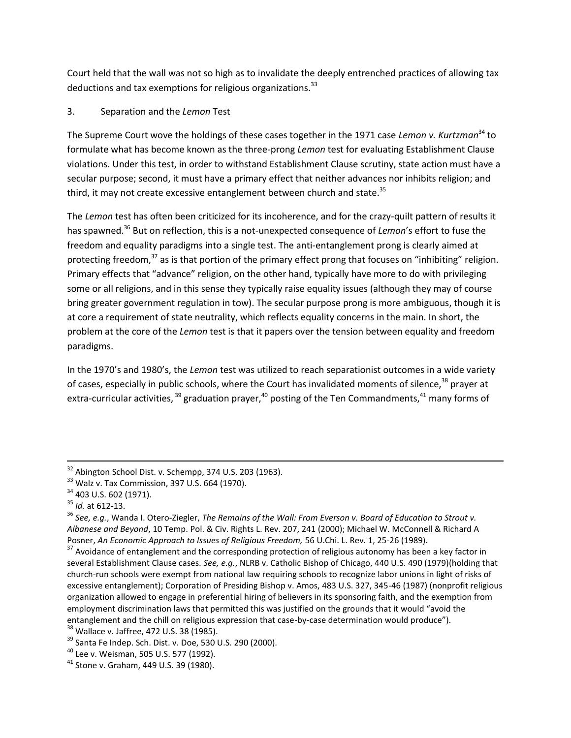Court held that the wall was not so high as to invalidate the deeply entrenched practices of allowing tax deductions and tax exemptions for religious organizations. $33$ 

#### 3. Separation and the *Lemon* Test

The Supreme Court wove the holdings of these cases together in the 1971 case *Lemon v. Kurtzman*<sup>34</sup> to formulate what has become known as the three-prong *Lemon* test for evaluating Establishment Clause violations. Under this test, in order to withstand Establishment Clause scrutiny, state action must have a secular purpose; second, it must have a primary effect that neither advances nor inhibits religion; and third, it may not create excessive entanglement between church and state. $35$ 

The *Lemon* test has often been criticized for its incoherence, and for the crazy-quilt pattern of results it has spawned.<sup>36</sup> But on reflection, this is a not-unexpected consequence of *Lemon*'s effort to fuse the freedom and equality paradigms into a single test. The anti-entanglement prong is clearly aimed at protecting freedom, $37$  as is that portion of the primary effect prong that focuses on "inhibiting" religion. Primary effects that "advance" religion, on the other hand, typically have more to do with privileging some or all religions, and in this sense they typically raise equality issues (although they may of course bring greater government regulation in tow). The secular purpose prong is more ambiguous, though it is at core a requirement of state neutrality, which reflects equality concerns in the main. In short, the problem at the core of the *Lemon* test is that it papers over the tension between equality and freedom paradigms.

In the 1970's and 1980's, the *Lemon* test was utilized to reach separationist outcomes in a wide variety of cases, especially in public schools, where the Court has invalidated moments of silence,<sup>38</sup> prayer at extra-curricular activities,  $39$  graduation prayer,  $40$  posting of the Ten Commandments,  $41$  many forms of

l

 $32$  Abington School Dist. v. Schempp, 374 U.S. 203 (1963).

<sup>&</sup>lt;sup>33</sup> Walz v. Tax Commission, 397 U.S. 664 (1970).

 $34$  403 U.S. 602 (1971).

<sup>35</sup> *Id.* at 612-13.

<sup>36</sup> *See, e.g.*, Wanda I. Otero-Ziegler, *The Remains of the Wall: From Everson v. Board of Education to Strout v. Albanese and Beyond*, 10 Temp. Pol. & Civ. Rights L. Rev. 207, 241 (2000); Michael W. McConnell & Richard A Posner, *An Economic Approach to Issues of Religious Freedom,* 56 U.Chi. L. Rev. 1, 25-26 (1989).

<sup>&</sup>lt;sup>37</sup> Avoidance of entanglement and the corresponding protection of religious autonomy has been a key factor in several Establishment Clause cases. *See, e.g.*, NLRB v. Catholic Bishop of Chicago, 440 U.S. 490 (1979)(holding that church-run schools were exempt from national law requiring schools to recognize labor unions in light of risks of excessive entanglement); Corporation of Presiding Bishop v. Amos, 483 U.S. 327, 345-46 (1987) (nonprofit religious organization allowed to engage in preferential hiring of believers in its sponsoring faith, and the exemption from employment discrimination laws that permitted this was justified on the grounds that it would "avoid the entanglement and the chill on religious expression that case-by-case determination would produce").

<sup>&</sup>lt;sup>38</sup> Wallace v. Jaffree, 472 U.S. 38 (1985).

<sup>39</sup> Santa Fe Indep. Sch. Dist. v. Doe, 530 U.S. 290 (2000).

<sup>40</sup> Lee v. Weisman, 505 U.S. 577 (1992).

 $41$  Stone v. Graham, 449 U.S. 39 (1980).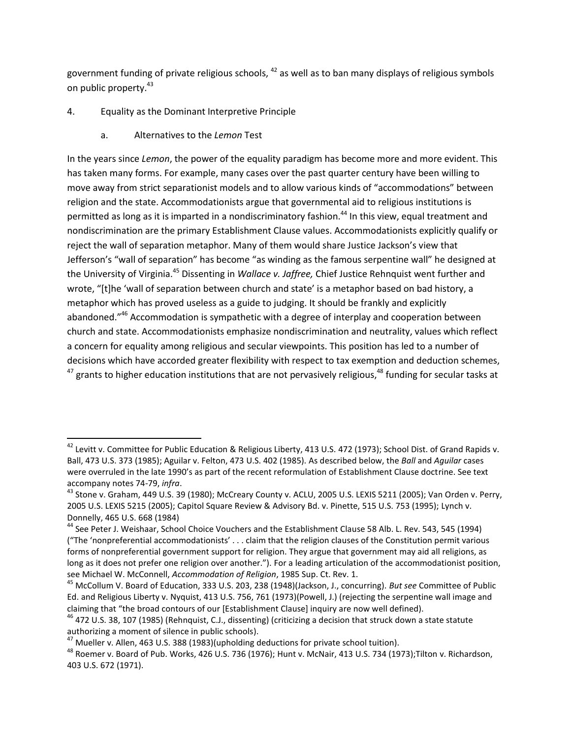government funding of private religious schools,  $42$  as well as to ban many displays of religious symbols on public property.<sup>43</sup>

- 4. Equality as the Dominant Interpretive Principle
	- a. Alternatives to the *Lemon* Test

In the years since *Lemon*, the power of the equality paradigm has become more and more evident. This has taken many forms. For example, many cases over the past quarter century have been willing to move away from strict separationist models and to allow various kinds of "accommodations" between religion and the state. Accommodationists argue that governmental aid to religious institutions is permitted as long as it is imparted in a nondiscriminatory fashion.<sup>44</sup> In this view, equal treatment and nondiscrimination are the primary Establishment Clause values. Accommodationists explicitly qualify or reject the wall of separation metaphor. Many of them would share Justice Jackson's view that Jefferson's "wall of separation" has become "as winding as the famous serpentine wall" he designed at the University of Virginia.<sup>45</sup> Dissenting in *Wallace v. Jaffree,* Chief Justice Rehnquist went further and wrote, "[t]he 'wall of separation between church and state' is a metaphor based on bad history, a metaphor which has proved useless as a guide to judging. It should be frankly and explicitly abandoned."<sup>46</sup> Accommodation is sympathetic with a degree of interplay and cooperation between church and state. Accommodationists emphasize nondiscrimination and neutrality, values which reflect a concern for equality among religious and secular viewpoints. This position has led to a number of decisions which have accorded greater flexibility with respect to tax exemption and deduction schemes,  $47$  grants to higher education institutions that are not pervasively religious,  $48$  funding for secular tasks at

l  $^{42}$  Levitt v. Committee for Public Education & Religious Liberty, 413 U.S. 472 (1973); School Dist. of Grand Rapids v. Ball, 473 U.S. 373 (1985); Aguilar v. Felton, 473 U.S. 402 (1985). As described below, the *Ball* and *Aguilar* cases were overruled in the late 1990's as part of the recent reformulation of Establishment Clause doctrine. See text accompany notes 74-79, *infra*.

 $^{43}$  Stone v. Graham, 449 U.S. 39 (1980); McCreary County v. ACLU, 2005 U.S. LEXIS 5211 (2005); Van Orden v. Perry, 2005 U.S. LEXIS 5215 (2005); Capitol Square Review & Advisory Bd. v. Pinette, 515 U.S. 753 (1995); Lynch v. Donnelly, 465 U.S. 668 (1984)

<sup>&</sup>lt;sup>44</sup> See Peter J. Weishaar, School Choice Vouchers and the Establishment Clause 58 Alb. L. Rev. 543, 545 (1994) ("The 'nonpreferential accommodationists' . . . claim that the religion clauses of the Constitution permit various forms of nonpreferential government support for religion. They argue that government may aid all religions, as long as it does not prefer one religion over another."). For a leading articulation of the accommodationist position, see Michael W. McConnell, *Accommodation of Religion*, 1985 Sup. Ct. Rev. 1.

<sup>45</sup> McCollum V. Board of Education, 333 U.S. 203, 238 (1948)(Jackson, J., concurring). *But see* Committee of Public Ed. and Religious Liberty v. Nyquist, 413 U.S. 756, 761 (1973)(Powell, J.) (rejecting the serpentine wall image and claiming that "the broad contours of our [Establishment Clause] inquiry are now well defined).

 $^{46}$  472 U.S. 38, 107 (1985) (Rehnquist, C.J., dissenting) (criticizing a decision that struck down a state statute authorizing a moment of silence in public schools).

 $47$  Mueller v. Allen, 463 U.S. 388 (1983)(upholding deductions for private school tuition).

<sup>&</sup>lt;sup>48</sup> Roemer v. Board of Pub. Works, 426 U.S. 736 (1976); Hunt v. McNair, 413 U.S. 734 (1973); Tilton v. Richardson, 403 U.S. 672 (1971).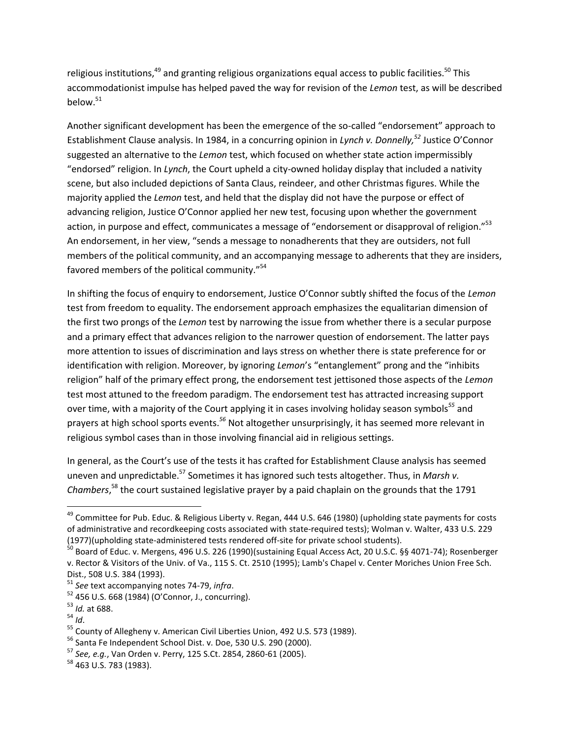religious institutions,<sup>49</sup> and granting religious organizations equal access to public facilities.<sup>50</sup> This accommodationist impulse has helped paved the way for revision of the *Lemon* test, as will be described below. $51$ 

Another significant development has been the emergence of the so-called "endorsement" approach to Establishment Clause analysis. In 1984, in a concurring opinion in *Lynch v. Donnelly,<sup>52</sup>* Justice O'Connor suggested an alternative to the *Lemon* test, which focused on whether state action impermissibly "endorsed" religion. In *Lynch*, the Court upheld a city-owned holiday display that included a nativity scene, but also included depictions of Santa Claus, reindeer, and other Christmas figures. While the majority applied the *Lemon* test, and held that the display did not have the purpose or effect of advancing religion, Justice O'Connor applied her new test, focusing upon whether the government action, in purpose and effect, communicates a message of "endorsement or disapproval of religion."<sup>53</sup> An endorsement, in her view, "sends a message to nonadherents that they are outsiders, not full members of the political community, and an accompanying message to adherents that they are insiders, favored members of the political community."<sup>54</sup>

In shifting the focus of enquiry to endorsement, Justice O'Connor subtly shifted the focus of the *Lemon* test from freedom to equality. The endorsement approach emphasizes the equalitarian dimension of the first two prongs of the *Lemon* test by narrowing the issue from whether there is a secular purpose and a primary effect that advances religion to the narrower question of endorsement. The latter pays more attention to issues of discrimination and lays stress on whether there is state preference for or identification with religion. Moreover, by ignoring *Lemon*'s "entanglement" prong and the "inhibits religion" half of the primary effect prong, the endorsement test jettisoned those aspects of the *Lemon* test most attuned to the freedom paradigm. The endorsement test has attracted increasing support over time, with a majority of the Court applying it in cases involving holiday season symbols*<sup>55</sup>* and prayers at high school sports events.*<sup>56</sup>* Not altogether unsurprisingly, it has seemed more relevant in religious symbol cases than in those involving financial aid in religious settings.

In general, as the Court's use of the tests it has crafted for Establishment Clause analysis has seemed uneven and unpredictable.<sup>57</sup> Sometimes it has ignored such tests altogether. Thus, in *Marsh v. Chambers*, <sup>58</sup> the court sustained legislative prayer by a paid chaplain on the grounds that the 1791

<sup>&</sup>lt;sup>49</sup> Committee for Pub. Educ. & Religious Liberty v. Regan, 444 U.S. 646 (1980) (upholding state payments for costs of administrative and recordkeeping costs associated with state-required tests); Wolman v. Walter, 433 U.S. 229 (1977)(upholding state-administered tests rendered off-site for private school students).

<sup>50</sup> Board of Educ. v. Mergens, 496 U.S. 226 (1990)(sustaining Equal Access Act, 20 U.S.C. §§ 4071-74); Rosenberger v. Rector & Visitors of the Univ. of Va., 115 S. Ct. 2510 (1995); Lamb's Chapel v. Center Moriches Union Free Sch. Dist., 508 U.S. 384 (1993).

<sup>51</sup> *See* text accompanying notes 74-79, *infra*.

 $52$  456 U.S. 668 (1984) (O'Connor, J., concurring).

<sup>53</sup> *Id.* at 688.

<sup>54</sup> *Id*.

<sup>&</sup>lt;sup>55</sup> County of Allegheny v. American Civil Liberties Union, 492 U.S. 573 (1989).

<sup>&</sup>lt;sup>56</sup> Santa Fe Independent School Dist. v. Doe, 530 U.S. 290 (2000).

<sup>57</sup> *See, e.g.*, Van Orden v. Perry, 125 S.Ct. 2854, 2860-61 (2005).

<sup>58</sup> 463 U.S. 783 (1983).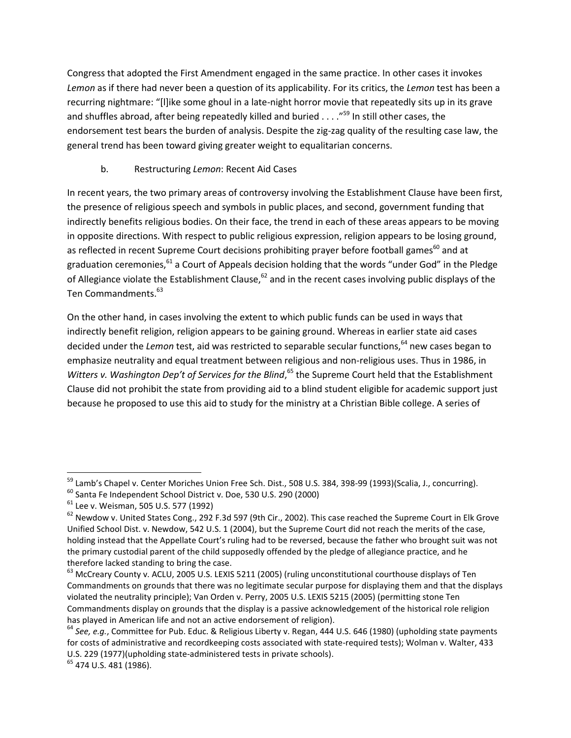Congress that adopted the First Amendment engaged in the same practice. In other cases it invokes *Lemon* as if there had never been a question of its applicability. For its critics, the *Lemon* test has been a recurring nightmare: "[I]ike some ghoul in a late-night horror movie that repeatedly sits up in its grave and shuffles abroad, after being repeatedly killed and buried  $\ldots$ ."<sup>59</sup> In still other cases, the endorsement test bears the burden of analysis. Despite the zig-zag quality of the resulting case law, the general trend has been toward giving greater weight to equalitarian concerns.

### b. Restructuring *Lemon*: Recent Aid Cases

In recent years, the two primary areas of controversy involving the Establishment Clause have been first, the presence of religious speech and symbols in public places, and second, government funding that indirectly benefits religious bodies. On their face, the trend in each of these areas appears to be moving in opposite directions. With respect to public religious expression, religion appears to be losing ground, as reflected in recent Supreme Court decisions prohibiting prayer before football games<sup>60</sup> and at graduation ceremonies, $61$  a Court of Appeals decision holding that the words "under God" in the Pledge of Allegiance violate the Establishment Clause,<sup>62</sup> and in the recent cases involving public displays of the Ten Commandments.<sup>63</sup>

On the other hand, in cases involving the extent to which public funds can be used in ways that indirectly benefit religion, religion appears to be gaining ground. Whereas in earlier state aid cases decided under the *Lemon* test, aid was restricted to separable secular functions, <sup>64</sup> new cases began to emphasize neutrality and equal treatment between religious and non-religious uses. Thus in 1986, in Witters v. Washington Dep't of Services for the Blind,<sup>65</sup> the Supreme Court held that the Establishment Clause did not prohibit the state from providing aid to a blind student eligible for academic support just because he proposed to use this aid to study for the ministry at a Christian Bible college. A series of

 $\overline{\phantom{a}}$ <sup>59</sup> Lamb's Chapel v. Center Moriches Union Free Sch. Dist., 508 U.S. 384, 398-99 (1993)(Scalia, J., concurring).

<sup>60</sup> Santa Fe Independent School District v. Doe, 530 U.S. 290 (2000)

<sup>61</sup> Lee v. Weisman, 505 U.S. 577 (1992)

 $62$  Newdow v. United States Cong., 292 F.3d 597 (9th Cir., 2002). This case reached the Supreme Court in Elk Grove Unified School Dist. v. Newdow, 542 U.S. 1 (2004), but the Supreme Court did not reach the merits of the case, holding instead that the Appellate Court's ruling had to be reversed, because the father who brought suit was not the primary custodial parent of the child supposedly offended by the pledge of allegiance practice, and he therefore lacked standing to bring the case.

<sup>&</sup>lt;sup>63</sup> McCreary County v. ACLU, 2005 U.S. LEXIS 5211 (2005) (ruling unconstitutional courthouse displays of Ten Commandments on grounds that there was no legitimate secular purpose for displaying them and that the displays violated the neutrality principle); Van Orden v. Perry, 2005 U.S. LEXIS 5215 (2005) (permitting stone Ten Commandments display on grounds that the display is a passive acknowledgement of the historical role religion has played in American life and not an active endorsement of religion).

<sup>64</sup> *See, e.g.*, Committee for Pub. Educ. & Religious Liberty v. Regan, 444 U.S. 646 (1980) (upholding state payments for costs of administrative and recordkeeping costs associated with state-required tests); Wolman v. Walter, 433 U.S. 229 (1977)(upholding state-administered tests in private schools).

<sup>&</sup>lt;sup>65</sup> 474 U.S. 481 (1986).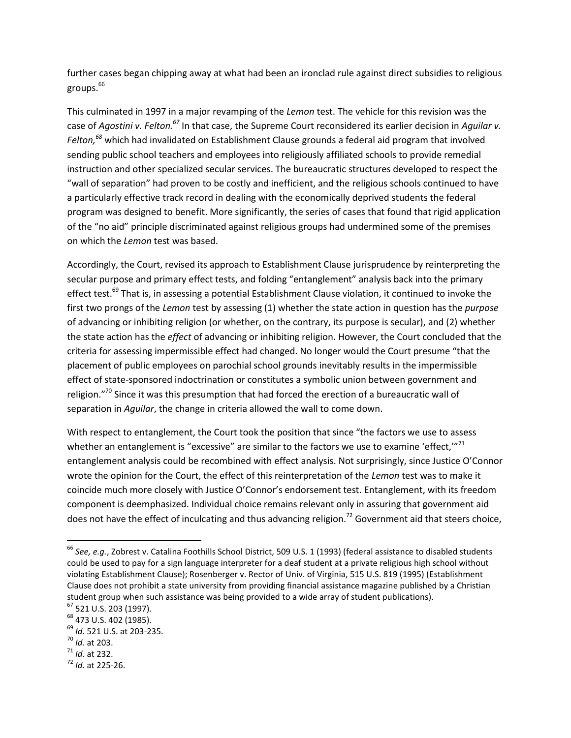further cases began chipping away at what had been an ironclad rule against direct subsidies to religious groups.<sup>66</sup>

This culminated in 1997 in a major revamping of the *Lemon* test. The vehicle for this revision was the case of *Agostini v. Felton.<sup>67</sup>* In that case, the Supreme Court reconsidered its earlier decision in *Aguilar v. Felton,<sup>68</sup>* which had invalidated on Establishment Clause grounds a federal aid program that involved sending public school teachers and employees into religiously affiliated schools to provide remedial instruction and other specialized secular services. The bureaucratic structures developed to respect the "wall of separation" had proven to be costly and inefficient, and the religious schools continued to have a particularly effective track record in dealing with the economically deprived students the federal program was designed to benefit. More significantly, the series of cases that found that rigid application of the "no aid" principle discriminated against religious groups had undermined some of the premises on which the *Lemon* test was based.

Accordingly, the Court, revised its approach to Establishment Clause jurisprudence by reinterpreting the secular purpose and primary effect tests, and folding "entanglement" analysis back into the primary effect test.<sup>69</sup> That is, in assessing a potential Establishment Clause violation, it continued to invoke the first two prongs of the *Lemon* test by assessing (1) whether the state action in question has the *purpose* of advancing or inhibiting religion (or whether, on the contrary, its purpose is secular), and (2) whether the state action has the *effect* of advancing or inhibiting religion. However, the Court concluded that the criteria for assessing impermissible effect had changed. No longer would the Court presume "that the placement of public employees on parochial school grounds inevitably results in the impermissible effect of state-sponsored indoctrination or constitutes a symbolic union between government and religion."<sup>70</sup> Since it was this presumption that had forced the erection of a bureaucratic wall of separation in *Aguilar*, the change in criteria allowed the wall to come down.

With respect to entanglement, the Court took the position that since "the factors we use to assess whether an entanglement is "excessive" are similar to the factors we use to examine 'effect,"<sup>71</sup> entanglement analysis could be recombined with effect analysis. Not surprisingly, since Justice O'Connor wrote the opinion for the Court, the effect of this reinterpretation of the *Lemon* test was to make it coincide much more closely with Justice O'Connor's endorsement test. Entanglement, with its freedom component is deemphasized. Individual choice remains relevant only in assuring that government aid does not have the effect of inculcating and thus advancing religion.<sup>72</sup> Government aid that steers choice,

 $\overline{a}$ 

<sup>&</sup>lt;sup>66</sup> See, e.g., Zobrest v. Catalina Foothills School District, 509 U.S. 1 (1993) (federal assistance to disabled students could be used to pay for a sign language interpreter for a deaf student at a private religious high school without violating Establishment Clause); Rosenberger v. Rector of Univ. of Virginia, 515 U.S. 819 (1995) (Establishment Clause does not prohibit a state university from providing financial assistance magazine published by a Christian student group when such assistance was being provided to a wide array of student publications).

<sup>67</sup> 521 U.S. 203 (1997). <sup>68</sup> 473 U.S. 402 (1985).

<sup>69</sup> *Id.* 521 U.S. at 203-235.

<sup>70</sup> *Id.* at 203.

<sup>71</sup> *Id.* at 232.

<sup>72</sup> *Id.* at 225-26.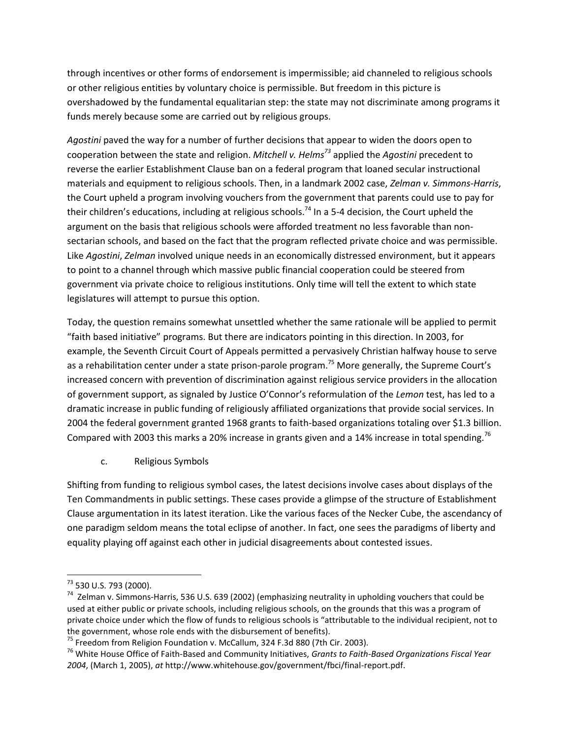through incentives or other forms of endorsement is impermissible; aid channeled to religious schools or other religious entities by voluntary choice is permissible. But freedom in this picture is overshadowed by the fundamental equalitarian step: the state may not discriminate among programs it funds merely because some are carried out by religious groups.

*Agostini* paved the way for a number of further decisions that appear to widen the doors open to cooperation between the state and religion. *Mitchell v. Helms<sup>73</sup>* applied the *Agostini* precedent to reverse the earlier Establishment Clause ban on a federal program that loaned secular instructional materials and equipment to religious schools. Then, in a landmark 2002 case, *Zelman v. Simmons-Harris*, the Court upheld a program involving vouchers from the government that parents could use to pay for their children's educations, including at religious schools.<sup>74</sup> In a 5-4 decision, the Court upheld the argument on the basis that religious schools were afforded treatment no less favorable than nonsectarian schools, and based on the fact that the program reflected private choice and was permissible. Like *Agostini*, *Zelman* involved unique needs in an economically distressed environment, but it appears to point to a channel through which massive public financial cooperation could be steered from government via private choice to religious institutions. Only time will tell the extent to which state legislatures will attempt to pursue this option.

Today, the question remains somewhat unsettled whether the same rationale will be applied to permit "faith based initiative" programs. But there are indicators pointing in this direction. In 2003, for example, the Seventh Circuit Court of Appeals permitted a pervasively Christian halfway house to serve as a rehabilitation center under a state prison-parole program.<sup>75</sup> More generally, the Supreme Court's increased concern with prevention of discrimination against religious service providers in the allocation of government support, as signaled by Justice O'Connor's reformulation of the *Lemon* test, has led to a dramatic increase in public funding of religiously affiliated organizations that provide social services. In 2004 the federal government granted 1968 grants to faith-based organizations totaling over \$1.3 billion. Compared with 2003 this marks a 20% increase in grants given and a 14% increase in total spending.<sup>76</sup>

c. Religious Symbols

Shifting from funding to religious symbol cases, the latest decisions involve cases about displays of the Ten Commandments in public settings. These cases provide a glimpse of the structure of Establishment Clause argumentation in its latest iteration. Like the various faces of the Necker Cube, the ascendancy of one paradigm seldom means the total eclipse of another. In fact, one sees the paradigms of liberty and equality playing off against each other in judicial disagreements about contested issues.

<sup>73</sup> 530 U.S. 793 (2000).

<sup>&</sup>lt;sup>74</sup> Zelman v. Simmons-Harris, 536 U.S. 639 (2002) (emphasizing neutrality in upholding vouchers that could be used at either public or private schools, including religious schools, on the grounds that this was a program of private choice under which the flow of funds to religious schools is "attributable to the individual recipient, not to the government, whose role ends with the disbursement of benefits).

<sup>&</sup>lt;sup>75</sup> Freedom from Religion Foundation v. McCallum, 324 F.3d 880 (7th Cir. 2003).

<sup>76</sup> White House Office of Faith-Based and Community Initiatives, *Grants to Faith-Based Organizations Fiscal Year 2004*, (March 1, 2005), *at* http://www.whitehouse.gov/government/fbci/final-report.pdf.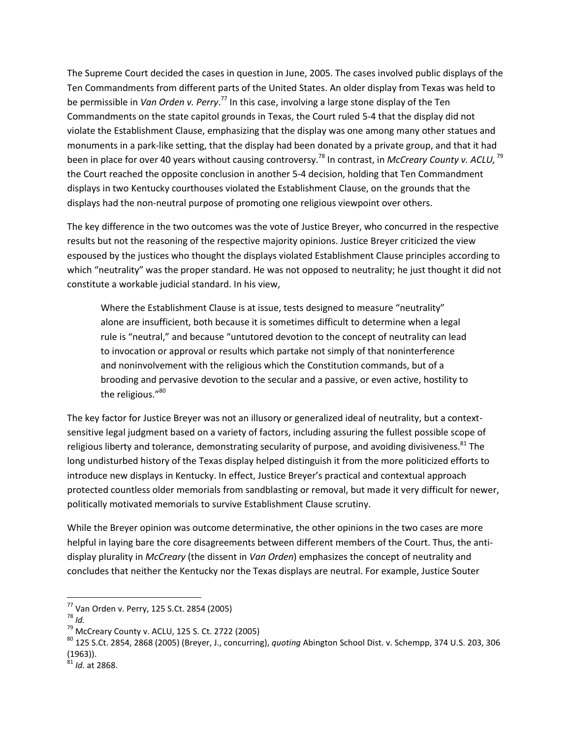The Supreme Court decided the cases in question in June, 2005. The cases involved public displays of the Ten Commandments from different parts of the United States. An older display from Texas was held to be permissible in *Van Orden v. Perry*. <sup>77</sup> In this case, involving a large stone display of the Ten Commandments on the state capitol grounds in Texas, the Court ruled 5-4 that the display did not violate the Establishment Clause, emphasizing that the display was one among many other statues and monuments in a park-like setting, that the display had been donated by a private group, and that it had been in place for over 40 years without causing controversy.<sup>78</sup> In contrast, in *McCreary County v. ACLU,* <sup>79</sup> the Court reached the opposite conclusion in another 5-4 decision, holding that Ten Commandment displays in two Kentucky courthouses violated the Establishment Clause, on the grounds that the displays had the non-neutral purpose of promoting one religious viewpoint over others.

The key difference in the two outcomes was the vote of Justice Breyer, who concurred in the respective results but not the reasoning of the respective majority opinions. Justice Breyer criticized the view espoused by the justices who thought the displays violated Establishment Clause principles according to which "neutrality" was the proper standard. He was not opposed to neutrality; he just thought it did not constitute a workable judicial standard. In his view,

Where the Establishment Clause is at issue, tests designed to measure "neutrality" alone are insufficient, both because it is sometimes difficult to determine when a legal rule is "neutral," and because "untutored devotion to the concept of neutrality can lead to invocation or approval or results which partake not simply of that noninterference and noninvolvement with the religious which the Constitution commands, but of a brooding and pervasive devotion to the secular and a passive, or even active, hostility to the religious."<sup>80</sup>

The key factor for Justice Breyer was not an illusory or generalized ideal of neutrality, but a contextsensitive legal judgment based on a variety of factors, including assuring the fullest possible scope of religious liberty and tolerance, demonstrating secularity of purpose, and avoiding divisiveness.<sup>81</sup> The long undisturbed history of the Texas display helped distinguish it from the more politicized efforts to introduce new displays in Kentucky. In effect, Justice Breyer's practical and contextual approach protected countless older memorials from sandblasting or removal, but made it very difficult for newer, politically motivated memorials to survive Establishment Clause scrutiny.

While the Breyer opinion was outcome determinative, the other opinions in the two cases are more helpful in laying bare the core disagreements between different members of the Court. Thus, the antidisplay plurality in *McCreary* (the dissent in *Van Orden*) emphasizes the concept of neutrality and concludes that neither the Kentucky nor the Texas displays are neutral. For example, Justice Souter

 $\overline{a}$ 

<sup>77</sup> Van Orden v. Perry, 125 S.Ct. 2854 (2005)

<sup>78</sup> *Id.*

<sup>&</sup>lt;sup>79</sup> McCreary County v. ACLU, 125 S. Ct. 2722 (2005)

<sup>80</sup> 125 S.Ct. 2854, 2868 (2005) (Breyer, J., concurring), *quoting* Abington School Dist. v. Schempp, 374 U.S. 203, 306 (1963)).

<sup>81</sup> *Id.* at 2868.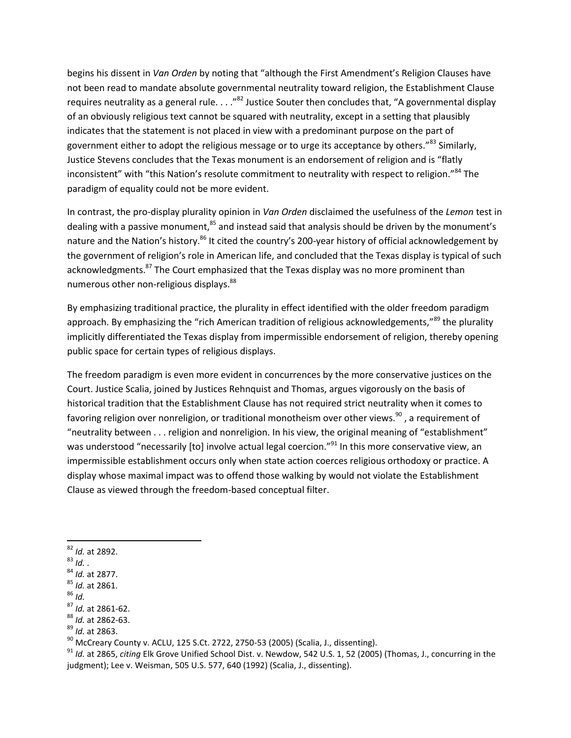begins his dissent in *Van Orden* by noting that "although the First Amendment's Religion Clauses have not been read to mandate absolute governmental neutrality toward religion, the Establishment Clause requires neutrality as a general rule.  $\ldots$ <sup>82</sup> Justice Souter then concludes that, "A governmental display of an obviously religious text cannot be squared with neutrality, except in a setting that plausibly indicates that the statement is not placed in view with a predominant purpose on the part of government either to adopt the religious message or to urge its acceptance by others."<sup>83</sup> Similarly, Justice Stevens concludes that the Texas monument is an endorsement of religion and is "flatly inconsistent" with "this Nation's resolute commitment to neutrality with respect to religion."<sup>84</sup> The paradigm of equality could not be more evident.

In contrast, the pro-display plurality opinion in *Van Orden* disclaimed the usefulness of the *Lemon* test in dealing with a passive monument,<sup>85</sup> and instead said that analysis should be driven by the monument's nature and the Nation's history.<sup>86</sup> It cited the country's 200-year history of official acknowledgement by the government of religion's role in American life, and concluded that the Texas display is typical of such acknowledgments.<sup>87</sup> The Court emphasized that the Texas display was no more prominent than numerous other non-religious displays.<sup>88</sup>

By emphasizing traditional practice, the plurality in effect identified with the older freedom paradigm approach. By emphasizing the "rich American tradition of religious acknowledgements,"<sup>89</sup> the plurality implicitly differentiated the Texas display from impermissible endorsement of religion, thereby opening public space for certain types of religious displays.

The freedom paradigm is even more evident in concurrences by the more conservative justices on the Court. Justice Scalia, joined by Justices Rehnquist and Thomas, argues vigorously on the basis of historical tradition that the Establishment Clause has not required strict neutrality when it comes to favoring religion over nonreligion, or traditional monotheism over other views.<sup>90</sup>, a requirement of "neutrality between . . . religion and nonreligion. In his view, the original meaning of "establishment" was understood "necessarily [to] involve actual legal coercion."<sup>91</sup> In this more conservative view, an impermissible establishment occurs only when state action coerces religious orthodoxy or practice. A display whose maximal impact was to offend those walking by would not violate the Establishment Clause as viewed through the freedom-based conceptual filter.

 $\overline{a}$ 

- <sup>84</sup> *Id.* at 2877.
- <sup>85</sup> *Id.* at 2861.
- <sup>86</sup> *Id.*

- <sup>88</sup> *Id.* at 2862-63.
- <sup>89</sup> *Id.* at 2863.

 $90$  McCreary County v. ACLU, 125 S.Ct. 2722, 2750-53 (2005) (Scalia, J., dissenting).

<sup>91</sup> *Id.* at 2865, *citing* Elk Grove Unified School Dist. v. Newdow, 542 U.S. 1, 52 (2005) (Thomas, J., concurring in the judgment); Lee v. Weisman, 505 U.S. 577, 640 (1992) (Scalia, J., dissenting).

<sup>82</sup> *Id.* at 2892.

 $^{83}$  *Id.* .

<sup>87</sup> *Id.* at 2861-62.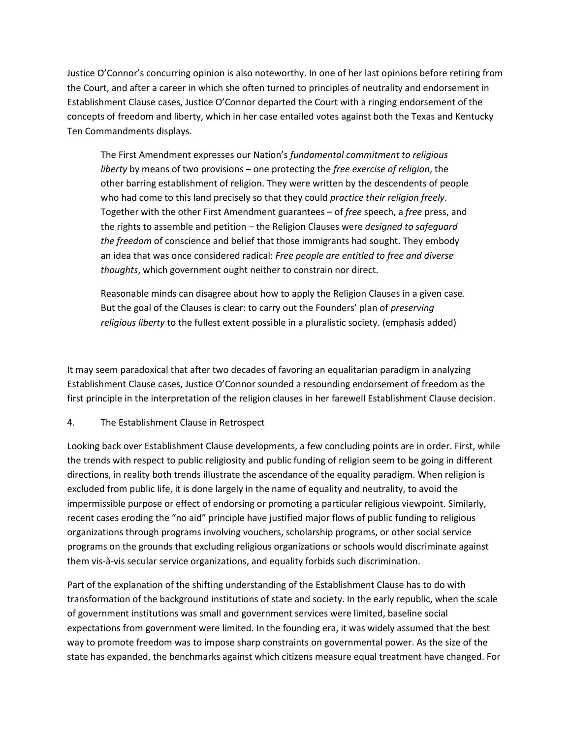Justice O'Connor's concurring opinion is also noteworthy. In one of her last opinions before retiring from the Court, and after a career in which she often turned to principles of neutrality and endorsement in Establishment Clause cases, Justice O'Connor departed the Court with a ringing endorsement of the concepts of freedom and liberty, which in her case entailed votes against both the Texas and Kentucky Ten Commandments displays.

The First Amendment expresses our Nation's *fundamental commitment to religious liberty* by means of two provisions – one protecting the *free exercise of religion*, the other barring establishment of religion. They were written by the descendents of people who had come to this land precisely so that they could *practice their religion freely*. Together with the other First Amendment guarantees – of *free* speech, a *free* press, and the rights to assemble and petition – the Religion Clauses were *designed to safeguard the freedom* of conscience and belief that those immigrants had sought. They embody an idea that was once considered radical: *Free people are entitled to free and diverse thoughts*, which government ought neither to constrain nor direct.

Reasonable minds can disagree about how to apply the Religion Clauses in a given case. But the goal of the Clauses is clear: to carry out the Founders' plan of *preserving religious liberty* to the fullest extent possible in a pluralistic society. (emphasis added)

It may seem paradoxical that after two decades of favoring an equalitarian paradigm in analyzing Establishment Clause cases, Justice O'Connor sounded a resounding endorsement of freedom as the first principle in the interpretation of the religion clauses in her farewell Establishment Clause decision.

#### 4. The Establishment Clause in Retrospect

Looking back over Establishment Clause developments, a few concluding points are in order. First, while the trends with respect to public religiosity and public funding of religion seem to be going in different directions, in reality both trends illustrate the ascendance of the equality paradigm. When religion is excluded from public life, it is done largely in the name of equality and neutrality, to avoid the impermissible purpose or effect of endorsing or promoting a particular religious viewpoint. Similarly, recent cases eroding the "no aid" principle have justified major flows of public funding to religious organizations through programs involving vouchers, scholarship programs, or other social service programs on the grounds that excluding religious organizations or schools would discriminate against them vis-à-vis secular service organizations, and equality forbids such discrimination.

Part of the explanation of the shifting understanding of the Establishment Clause has to do with transformation of the background institutions of state and society. In the early republic, when the scale of government institutions was small and government services were limited, baseline social expectations from government were limited. In the founding era, it was widely assumed that the best way to promote freedom was to impose sharp constraints on governmental power. As the size of the state has expanded, the benchmarks against which citizens measure equal treatment have changed. For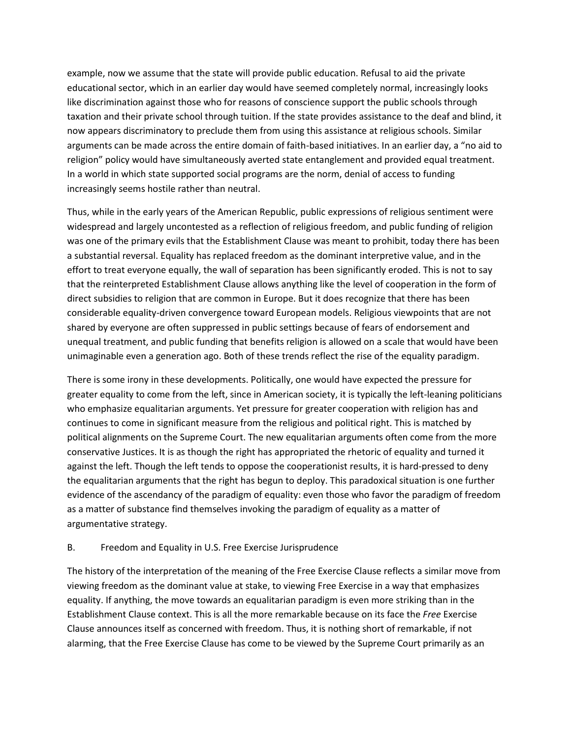example, now we assume that the state will provide public education. Refusal to aid the private educational sector, which in an earlier day would have seemed completely normal, increasingly looks like discrimination against those who for reasons of conscience support the public schools through taxation and their private school through tuition. If the state provides assistance to the deaf and blind, it now appears discriminatory to preclude them from using this assistance at religious schools. Similar arguments can be made across the entire domain of faith-based initiatives. In an earlier day, a "no aid to religion" policy would have simultaneously averted state entanglement and provided equal treatment. In a world in which state supported social programs are the norm, denial of access to funding increasingly seems hostile rather than neutral.

Thus, while in the early years of the American Republic, public expressions of religious sentiment were widespread and largely uncontested as a reflection of religious freedom, and public funding of religion was one of the primary evils that the Establishment Clause was meant to prohibit, today there has been a substantial reversal. Equality has replaced freedom as the dominant interpretive value, and in the effort to treat everyone equally, the wall of separation has been significantly eroded. This is not to say that the reinterpreted Establishment Clause allows anything like the level of cooperation in the form of direct subsidies to religion that are common in Europe. But it does recognize that there has been considerable equality-driven convergence toward European models. Religious viewpoints that are not shared by everyone are often suppressed in public settings because of fears of endorsement and unequal treatment, and public funding that benefits religion is allowed on a scale that would have been unimaginable even a generation ago. Both of these trends reflect the rise of the equality paradigm.

There is some irony in these developments. Politically, one would have expected the pressure for greater equality to come from the left, since in American society, it is typically the left-leaning politicians who emphasize equalitarian arguments. Yet pressure for greater cooperation with religion has and continues to come in significant measure from the religious and political right. This is matched by political alignments on the Supreme Court. The new equalitarian arguments often come from the more conservative Justices. It is as though the right has appropriated the rhetoric of equality and turned it against the left. Though the left tends to oppose the cooperationist results, it is hard-pressed to deny the equalitarian arguments that the right has begun to deploy. This paradoxical situation is one further evidence of the ascendancy of the paradigm of equality: even those who favor the paradigm of freedom as a matter of substance find themselves invoking the paradigm of equality as a matter of argumentative strategy.

#### B. Freedom and Equality in U.S. Free Exercise Jurisprudence

The history of the interpretation of the meaning of the Free Exercise Clause reflects a similar move from viewing freedom as the dominant value at stake, to viewing Free Exercise in a way that emphasizes equality. If anything, the move towards an equalitarian paradigm is even more striking than in the Establishment Clause context. This is all the more remarkable because on its face the *Free* Exercise Clause announces itself as concerned with freedom. Thus, it is nothing short of remarkable, if not alarming, that the Free Exercise Clause has come to be viewed by the Supreme Court primarily as an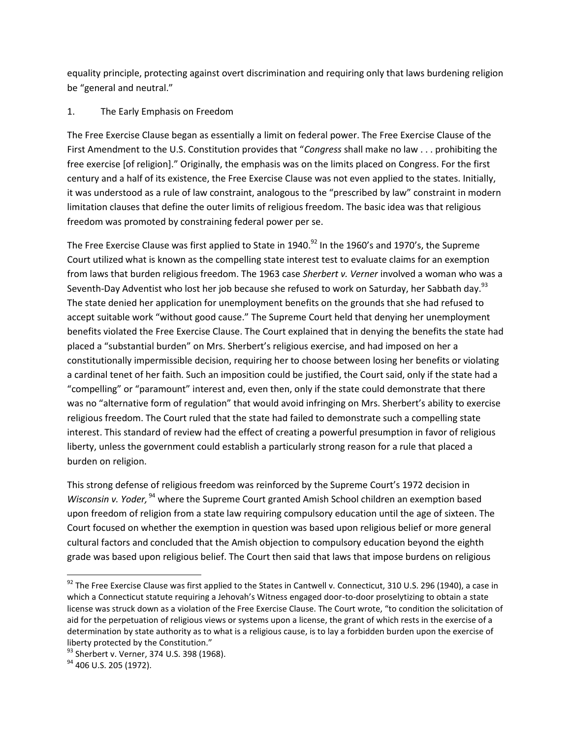equality principle, protecting against overt discrimination and requiring only that laws burdening religion be "general and neutral."

#### 1. The Early Emphasis on Freedom

The Free Exercise Clause began as essentially a limit on federal power. The Free Exercise Clause of the First Amendment to the U.S. Constitution provides that "*Congress* shall make no law . . . prohibiting the free exercise [of religion]." Originally, the emphasis was on the limits placed on Congress. For the first century and a half of its existence, the Free Exercise Clause was not even applied to the states. Initially, it was understood as a rule of law constraint, analogous to the "prescribed by law" constraint in modern limitation clauses that define the outer limits of religious freedom. The basic idea was that religious freedom was promoted by constraining federal power per se.

The Free Exercise Clause was first applied to State in 1940.<sup>92</sup> In the 1960's and 1970's, the Supreme Court utilized what is known as the compelling state interest test to evaluate claims for an exemption from laws that burden religious freedom. The 1963 case *Sherbert v. Verner* involved a woman who was a Seventh-Day Adventist who lost her job because she refused to work on Saturday, her Sabbath day.<sup>93</sup> The state denied her application for unemployment benefits on the grounds that she had refused to accept suitable work "without good cause." The Supreme Court held that denying her unemployment benefits violated the Free Exercise Clause. The Court explained that in denying the benefits the state had placed a "substantial burden" on Mrs. Sherbert's religious exercise, and had imposed on her a constitutionally impermissible decision, requiring her to choose between losing her benefits or violating a cardinal tenet of her faith. Such an imposition could be justified, the Court said, only if the state had a "compelling" or "paramount" interest and, even then, only if the state could demonstrate that there was no "alternative form of regulation" that would avoid infringing on Mrs. Sherbert's ability to exercise religious freedom. The Court ruled that the state had failed to demonstrate such a compelling state interest. This standard of review had the effect of creating a powerful presumption in favor of religious liberty, unless the government could establish a particularly strong reason for a rule that placed a burden on religion.

This strong defense of religious freedom was reinforced by the Supreme Court's 1972 decision in Wisconsin v. Yoder, <sup>94</sup> where the Supreme Court granted Amish School children an exemption based upon freedom of religion from a state law requiring compulsory education until the age of sixteen. The Court focused on whether the exemption in question was based upon religious belief or more general cultural factors and concluded that the Amish objection to compulsory education beyond the eighth grade was based upon religious belief. The Court then said that laws that impose burdens on religious

 $92$  The Free Exercise Clause was first applied to the States in Cantwell v. Connecticut, 310 U.S. 296 (1940), a case in which a Connecticut statute requiring a Jehovah's Witness engaged door-to-door proselytizing to obtain a state license was struck down as a violation of the Free Exercise Clause. The Court wrote, "to condition the solicitation of aid for the perpetuation of religious views or systems upon a license, the grant of which rests in the exercise of a determination by state authority as to what is a religious cause, is to lay a forbidden burden upon the exercise of liberty protected by the Constitution."

<sup>&</sup>lt;sup>93</sup> Sherbert v. Verner, 374 U.S. 398 (1968).

<sup>&</sup>lt;sup>94</sup> 406 U.S. 205 (1972).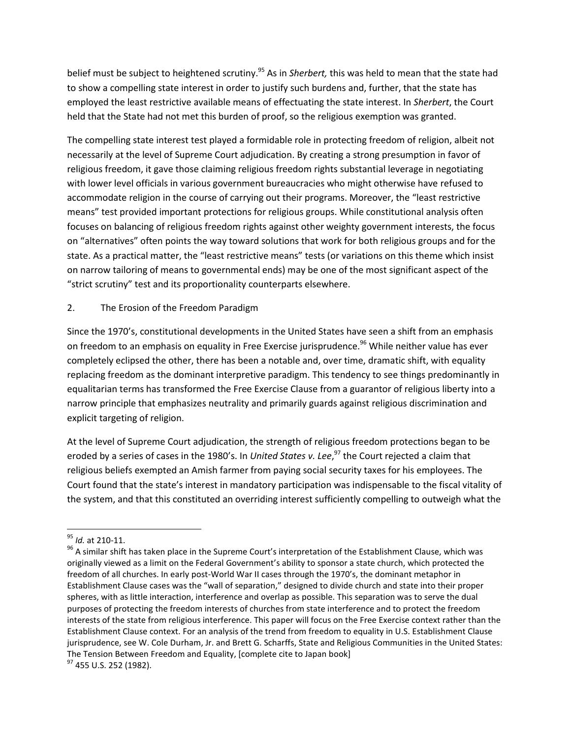belief must be subject to heightened scrutiny.<sup>95</sup> As in *Sherbert,* this was held to mean that the state had to show a compelling state interest in order to justify such burdens and, further, that the state has employed the least restrictive available means of effectuating the state interest. In *Sherbert*, the Court held that the State had not met this burden of proof, so the religious exemption was granted.

The compelling state interest test played a formidable role in protecting freedom of religion, albeit not necessarily at the level of Supreme Court adjudication. By creating a strong presumption in favor of religious freedom, it gave those claiming religious freedom rights substantial leverage in negotiating with lower level officials in various government bureaucracies who might otherwise have refused to accommodate religion in the course of carrying out their programs. Moreover, the "least restrictive means" test provided important protections for religious groups. While constitutional analysis often focuses on balancing of religious freedom rights against other weighty government interests, the focus on "alternatives" often points the way toward solutions that work for both religious groups and for the state. As a practical matter, the "least restrictive means" tests (or variations on this theme which insist on narrow tailoring of means to governmental ends) may be one of the most significant aspect of the "strict scrutiny" test and its proportionality counterparts elsewhere.

#### 2. The Erosion of the Freedom Paradigm

Since the 1970's, constitutional developments in the United States have seen a shift from an emphasis on freedom to an emphasis on equality in Free Exercise jurisprudence.<sup>96</sup> While neither value has ever completely eclipsed the other, there has been a notable and, over time, dramatic shift, with equality replacing freedom as the dominant interpretive paradigm. This tendency to see things predominantly in equalitarian terms has transformed the Free Exercise Clause from a guarantor of religious liberty into a narrow principle that emphasizes neutrality and primarily guards against religious discrimination and explicit targeting of religion.

At the level of Supreme Court adjudication, the strength of religious freedom protections began to be eroded by a series of cases in the 1980's. In *United States v. Lee*, <sup>97</sup> the Court rejected a claim that religious beliefs exempted an Amish farmer from paying social security taxes for his employees. The Court found that the state's interest in mandatory participation was indispensable to the fiscal vitality of the system, and that this constituted an overriding interest sufficiently compelling to outweigh what the

<sup>95</sup> *Id.* at 210-11.

 $96$  A similar shift has taken place in the Supreme Court's interpretation of the Establishment Clause, which was originally viewed as a limit on the Federal Government's ability to sponsor a state church, which protected the freedom of all churches. In early post-World War II cases through the 1970's, the dominant metaphor in Establishment Clause cases was the "wall of separation," designed to divide church and state into their proper spheres, with as little interaction, interference and overlap as possible. This separation was to serve the dual purposes of protecting the freedom interests of churches from state interference and to protect the freedom interests of the state from religious interference. This paper will focus on the Free Exercise context rather than the Establishment Clause context. For an analysis of the trend from freedom to equality in U.S. Establishment Clause jurisprudence, see W. Cole Durham, Jr. and Brett G. Scharffs, State and Religious Communities in the United States: The Tension Between Freedom and Equality, [complete cite to Japan book] <sup>97</sup> 455 U.S. 252 (1982).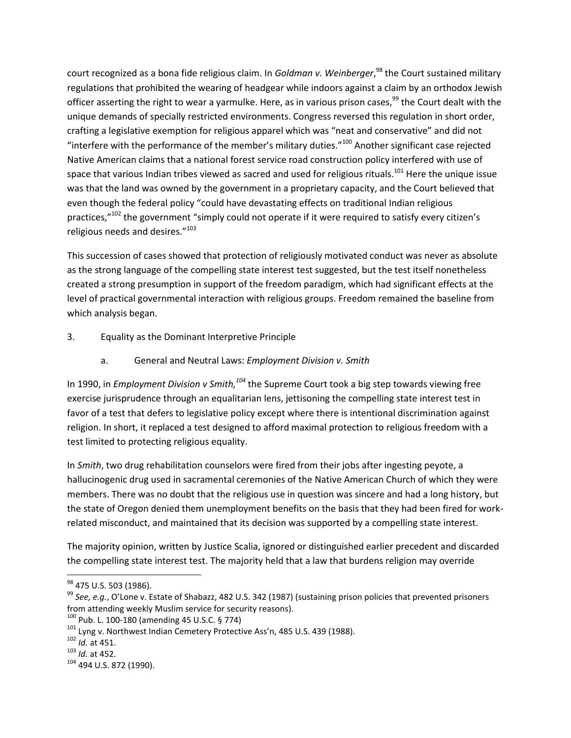court recognized as a bona fide religious claim. In *Goldman v. Weinberger*, <sup>98</sup> the Court sustained military regulations that prohibited the wearing of headgear while indoors against a claim by an orthodox Jewish officer asserting the right to wear a yarmulke. Here, as in various prison cases,  $99$  the Court dealt with the unique demands of specially restricted environments. Congress reversed this regulation in short order, crafting a legislative exemption for religious apparel which was "neat and conservative" and did not "interfere with the performance of the member's military duties." $100$  Another significant case rejected Native American claims that a national forest service road construction policy interfered with use of space that various Indian tribes viewed as sacred and used for religious rituals.<sup>101</sup> Here the unique issue was that the land was owned by the government in a proprietary capacity, and the Court believed that even though the federal policy "could have devastating effects on traditional Indian religious practices,"<sup>102</sup> the government "simply could not operate if it were required to satisfy every citizen's religious needs and desires."<sup>103</sup>

This succession of cases showed that protection of religiously motivated conduct was never as absolute as the strong language of the compelling state interest test suggested, but the test itself nonetheless created a strong presumption in support of the freedom paradigm, which had significant effects at the level of practical governmental interaction with religious groups. Freedom remained the baseline from which analysis began.

- 3. Equality as the Dominant Interpretive Principle
	- a. General and Neutral Laws: *Employment Division v. Smith*

In 1990, in *Employment Division v Smith,<sup>104</sup>* the Supreme Court took a big step towards viewing free exercise jurisprudence through an equalitarian lens, jettisoning the compelling state interest test in favor of a test that defers to legislative policy except where there is intentional discrimination against religion. In short, it replaced a test designed to afford maximal protection to religious freedom with a test limited to protecting religious equality.

In *Smith*, two drug rehabilitation counselors were fired from their jobs after ingesting peyote, a hallucinogenic drug used in sacramental ceremonies of the Native American Church of which they were members. There was no doubt that the religious use in question was sincere and had a long history, but the state of Oregon denied them unemployment benefits on the basis that they had been fired for workrelated misconduct, and maintained that its decision was supported by a compelling state interest.

The majority opinion, written by Justice Scalia, ignored or distinguished earlier precedent and discarded the compelling state interest test. The majority held that a law that burdens religion may override

<sup>98 475</sup> U.S. 503 (1986).

<sup>99</sup> *See, e.g.*, O'Lone v. Estate of Shabazz, 482 U.S. 342 (1987) (sustaining prison policies that prevented prisoners from attending weekly Muslim service for security reasons).

<sup>100</sup> Pub. L. 100-180 (amending 45 U.S.C. § 774)

<sup>&</sup>lt;sup>101</sup> Lyng v. Northwest Indian Cemetery Protective Ass'n, 485 U.S. 439 (1988).

<sup>102</sup> *Id.* at 451.

<sup>103</sup> *Id.* at 452.

<sup>104</sup> 494 U.S. 872 (1990).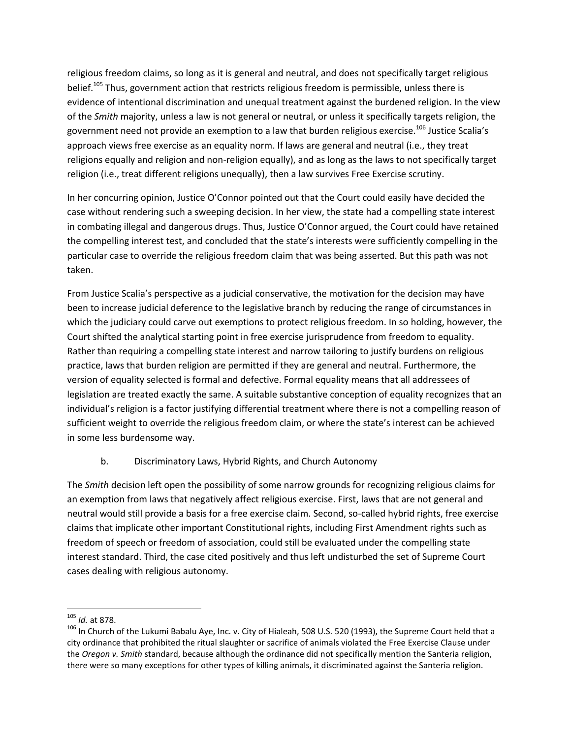religious freedom claims, so long as it is general and neutral, and does not specifically target religious belief.<sup>105</sup> Thus, government action that restricts religious freedom is permissible, unless there is evidence of intentional discrimination and unequal treatment against the burdened religion. In the view of the *Smith* majority, unless a law is not general or neutral, or unless it specifically targets religion, the government need not provide an exemption to a law that burden religious exercise.<sup>106</sup> Justice Scalia's approach views free exercise as an equality norm. If laws are general and neutral (i.e., they treat religions equally and religion and non-religion equally), and as long as the laws to not specifically target religion (i.e., treat different religions unequally), then a law survives Free Exercise scrutiny.

In her concurring opinion, Justice O'Connor pointed out that the Court could easily have decided the case without rendering such a sweeping decision. In her view, the state had a compelling state interest in combating illegal and dangerous drugs. Thus, Justice O'Connor argued, the Court could have retained the compelling interest test, and concluded that the state's interests were sufficiently compelling in the particular case to override the religious freedom claim that was being asserted. But this path was not taken.

From Justice Scalia's perspective as a judicial conservative, the motivation for the decision may have been to increase judicial deference to the legislative branch by reducing the range of circumstances in which the judiciary could carve out exemptions to protect religious freedom. In so holding, however, the Court shifted the analytical starting point in free exercise jurisprudence from freedom to equality. Rather than requiring a compelling state interest and narrow tailoring to justify burdens on religious practice, laws that burden religion are permitted if they are general and neutral. Furthermore, the version of equality selected is formal and defective. Formal equality means that all addressees of legislation are treated exactly the same. A suitable substantive conception of equality recognizes that an individual's religion is a factor justifying differential treatment where there is not a compelling reason of sufficient weight to override the religious freedom claim, or where the state's interest can be achieved in some less burdensome way.

#### b. Discriminatory Laws, Hybrid Rights, and Church Autonomy

The *Smith* decision left open the possibility of some narrow grounds for recognizing religious claims for an exemption from laws that negatively affect religious exercise. First, laws that are not general and neutral would still provide a basis for a free exercise claim. Second, so-called hybrid rights, free exercise claims that implicate other important Constitutional rights, including First Amendment rights such as freedom of speech or freedom of association, could still be evaluated under the compelling state interest standard. Third, the case cited positively and thus left undisturbed the set of Supreme Court cases dealing with religious autonomy.

l <sup>105</sup> *Id.* at 878.

<sup>&</sup>lt;sup>106</sup> In Church of the Lukumi Babalu Aye, Inc. v. City of Hialeah, 508 U.S. 520 (1993), the Supreme Court held that a city ordinance that prohibited the ritual slaughter or sacrifice of animals violated the Free Exercise Clause under the *Oregon v. Smith* standard, because although the ordinance did not specifically mention the Santeria religion, there were so many exceptions for other types of killing animals, it discriminated against the Santeria religion.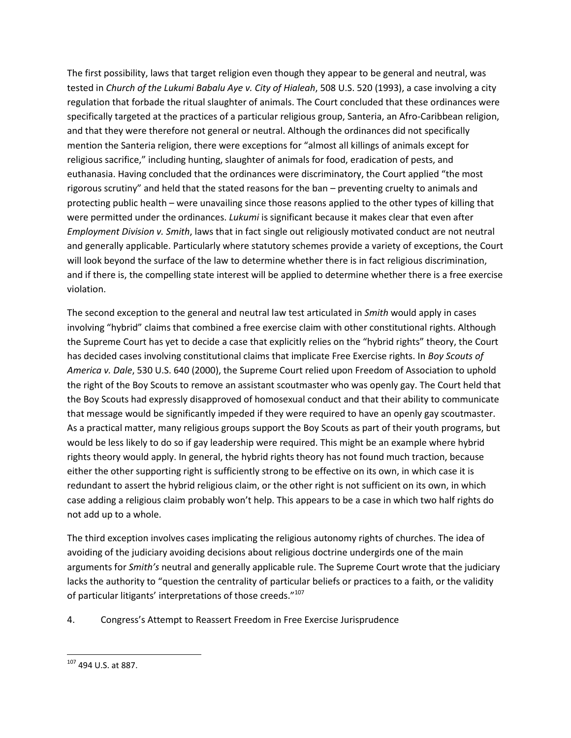The first possibility, laws that target religion even though they appear to be general and neutral, was tested in *Church of the Lukumi Babalu Aye v. City of Hialeah*, 508 U.S. 520 (1993), a case involving a city regulation that forbade the ritual slaughter of animals. The Court concluded that these ordinances were specifically targeted at the practices of a particular religious group, Santeria, an Afro-Caribbean religion, and that they were therefore not general or neutral. Although the ordinances did not specifically mention the Santeria religion, there were exceptions for "almost all killings of animals except for religious sacrifice," including hunting, slaughter of animals for food, eradication of pests, and euthanasia. Having concluded that the ordinances were discriminatory, the Court applied "the most rigorous scrutiny" and held that the stated reasons for the ban – preventing cruelty to animals and protecting public health – were unavailing since those reasons applied to the other types of killing that were permitted under the ordinances. *Lukumi* is significant because it makes clear that even after *Employment Division v. Smith*, laws that in fact single out religiously motivated conduct are not neutral and generally applicable. Particularly where statutory schemes provide a variety of exceptions, the Court will look beyond the surface of the law to determine whether there is in fact religious discrimination, and if there is, the compelling state interest will be applied to determine whether there is a free exercise violation.

The second exception to the general and neutral law test articulated in *Smith* would apply in cases involving "hybrid" claims that combined a free exercise claim with other constitutional rights. Although the Supreme Court has yet to decide a case that explicitly relies on the "hybrid rights" theory, the Court has decided cases involving constitutional claims that implicate Free Exercise rights. In *Boy Scouts of America v. Dale*, 530 U.S. 640 (2000), the Supreme Court relied upon Freedom of Association to uphold the right of the Boy Scouts to remove an assistant scoutmaster who was openly gay. The Court held that the Boy Scouts had expressly disapproved of homosexual conduct and that their ability to communicate that message would be significantly impeded if they were required to have an openly gay scoutmaster. As a practical matter, many religious groups support the Boy Scouts as part of their youth programs, but would be less likely to do so if gay leadership were required. This might be an example where hybrid rights theory would apply. In general, the hybrid rights theory has not found much traction, because either the other supporting right is sufficiently strong to be effective on its own, in which case it is redundant to assert the hybrid religious claim, or the other right is not sufficient on its own, in which case adding a religious claim probably won't help. This appears to be a case in which two half rights do not add up to a whole.

The third exception involves cases implicating the religious autonomy rights of churches. The idea of avoiding of the judiciary avoiding decisions about religious doctrine undergirds one of the main arguments for *Smith's* neutral and generally applicable rule. The Supreme Court wrote that the judiciary lacks the authority to "question the centrality of particular beliefs or practices to a faith, or the validity of particular litigants' interpretations of those creeds."<sup>107</sup>

4. Congress's Attempt to Reassert Freedom in Free Exercise Jurisprudence

 $\overline{\phantom{a}}$ <sup>107</sup> 494 U.S. at 887.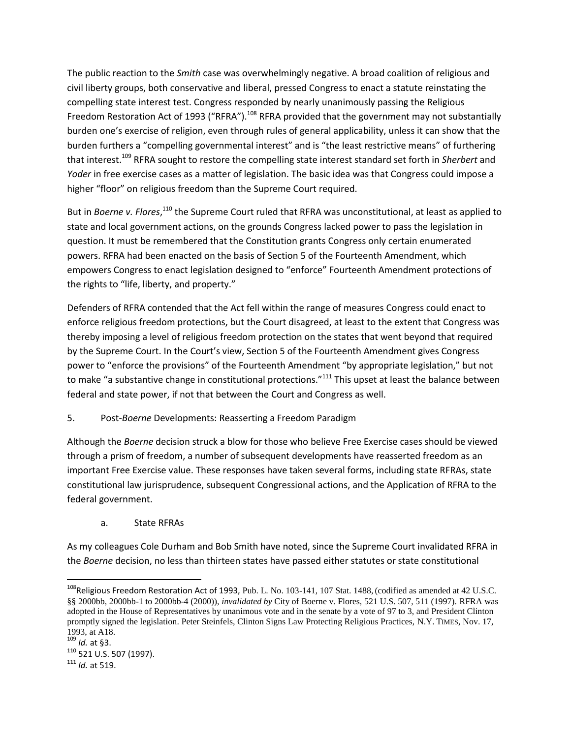The public reaction to the *Smith* case was overwhelmingly negative. A broad coalition of religious and civil liberty groups, both conservative and liberal, pressed Congress to enact a statute reinstating the compelling state interest test. Congress responded by nearly unanimously passing the Religious Freedom Restoration Act of 1993 ("RFRA").<sup>108</sup> RFRA provided that the government may not substantially burden one's exercise of religion, even through rules of general applicability, unless it can show that the burden furthers a "compelling governmental interest" and is "the least restrictive means" of furthering that interest.<sup>109</sup> RFRA sought to restore the compelling state interest standard set forth in *Sherbert* and *Yoder* in free exercise cases as a matter of legislation. The basic idea was that Congress could impose a higher "floor" on religious freedom than the Supreme Court required.

But in *Boerne v. Flores*,<sup>110</sup> the Supreme Court ruled that RFRA was unconstitutional, at least as applied to state and local government actions, on the grounds Congress lacked power to pass the legislation in question. It must be remembered that the Constitution grants Congress only certain enumerated powers. RFRA had been enacted on the basis of Section 5 of the Fourteenth Amendment, which empowers Congress to enact legislation designed to "enforce" Fourteenth Amendment protections of the rights to "life, liberty, and property."

Defenders of RFRA contended that the Act fell within the range of measures Congress could enact to enforce religious freedom protections, but the Court disagreed, at least to the extent that Congress was thereby imposing a level of religious freedom protection on the states that went beyond that required by the Supreme Court. In the Court's view, Section 5 of the Fourteenth Amendment gives Congress power to "enforce the provisions" of the Fourteenth Amendment "by appropriate legislation," but not to make "a substantive change in constitutional protections."<sup>111</sup> This upset at least the balance between federal and state power, if not that between the Court and Congress as well.

5. Post-*Boerne* Developments: Reasserting a Freedom Paradigm

Although the *Boerne* decision struck a blow for those who believe Free Exercise cases should be viewed through a prism of freedom, a number of subsequent developments have reasserted freedom as an important Free Exercise value. These responses have taken several forms, including state RFRAs, state constitutional law jurisprudence, subsequent Congressional actions, and the Application of RFRA to the federal government.

a. State RFRAs

As my colleagues Cole Durham and Bob Smith have noted, since the Supreme Court invalidated RFRA in the *Boerne* decision, no less than thirteen states have passed either statutes or state constitutional

<sup>&</sup>lt;sup>108</sup>Religious Freedom Restoration Act of 1993, Pub. L. No. 103-141, 107 Stat. 1488, (codified as amended at 42 U.S.C. §§ 2000bb, 2000bb-1 to 2000bb-4 (2000)), *invalidated by* City of Boerne v. Flores, 521 U.S. 507, 511 (1997). RFRA was adopted in the House of Representatives by unanimous vote and in the senate by a vote of 97 to 3, and President Clinton promptly signed the legislation. Peter Steinfels, Clinton Signs Law Protecting Religious Practices, N.Y. TIMES, Nov. 17, 1993, at A18.

<sup>109</sup> *Id.* at §3.

 $110$  521 U.S. 507 (1997).

<sup>111</sup> *Id.* at 519.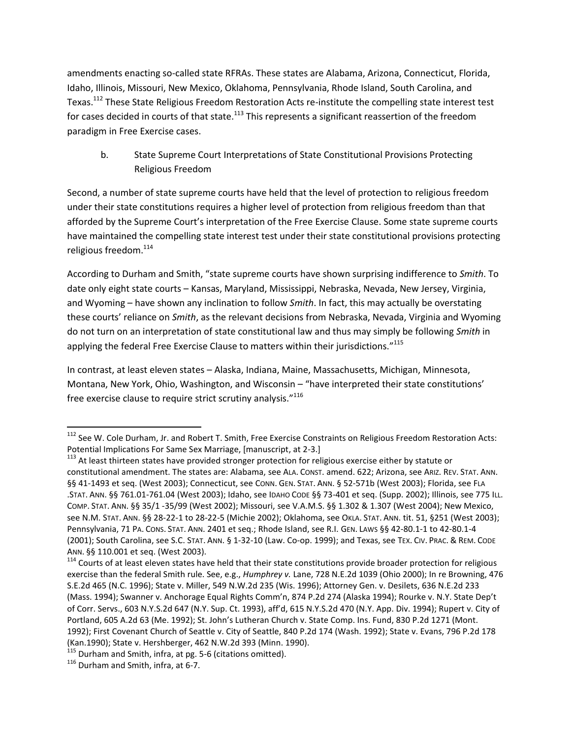amendments enacting so-called state RFRAs. These states are Alabama, Arizona, Connecticut, Florida, Idaho, Illinois, Missouri, New Mexico, Oklahoma, Pennsylvania, Rhode Island, South Carolina, and Texas.<sup>112</sup> These State Religious Freedom Restoration Acts re-institute the compelling state interest test for cases decided in courts of that state.<sup>113</sup> This represents a significant reassertion of the freedom paradigm in Free Exercise cases.

b. State Supreme Court Interpretations of State Constitutional Provisions Protecting Religious Freedom

Second, a number of state supreme courts have held that the level of protection to religious freedom under their state constitutions requires a higher level of protection from religious freedom than that afforded by the Supreme Court's interpretation of the Free Exercise Clause. Some state supreme courts have maintained the compelling state interest test under their state constitutional provisions protecting religious freedom.<sup>114</sup>

According to Durham and Smith, "state supreme courts have shown surprising indifference to *Smith*. To date only eight state courts – Kansas, Maryland, Mississippi, Nebraska, Nevada, New Jersey, Virginia, and Wyoming – have shown any inclination to follow *Smith*. In fact, this may actually be overstating these courts' reliance on *Smith*, as the relevant decisions from Nebraska, Nevada, Virginia and Wyoming do not turn on an interpretation of state constitutional law and thus may simply be following *Smith* in applying the federal Free Exercise Clause to matters within their jurisdictions."<sup>115</sup>

In contrast, at least eleven states – Alaska, Indiana, Maine, Massachusetts, Michigan, Minnesota, Montana, New York, Ohio, Washington, and Wisconsin – "have interpreted their state constitutions' free exercise clause to require strict scrutiny analysis."<sup>116</sup>

<sup>&</sup>lt;sup>112</sup> See W. Cole Durham, Jr. and Robert T. Smith, Free Exercise Constraints on Religious Freedom Restoration Acts: Potential Implications For Same Sex Marriage, [manuscript, at 2-3.]

<sup>&</sup>lt;sup>113</sup> At least thirteen states have provided stronger protection for religious exercise either by statute or constitutional amendment. The states are: Alabama, see ALA. CONST. amend. 622; Arizona, see ARIZ. REV. STAT. ANN. §§ 41-1493 et seq. (West 2003); Connecticut, see Conn. GEN. STAT. Ann. § 52-571b (West 2003); Florida, see FLA .STAT. ANN. §§ 761.01-761.04 (West 2003); Idaho, see IDAHO CODE §§ 73-401 et seq. (Supp. 2002); Illinois, see 775 ILL. COMP. STAT. ANN. §§ 35/1 -35/99 (West 2002); Missouri, see V.A.M.S. §§ 1.302 & 1.307 (West 2004); New Mexico, see N.M. STAT. ANN. §§ 28-22-1 to 28-22-5 (Michie 2002); Oklahoma, see OKLA. STAT. ANN. tit. 51, §251 (West 2003); Pennsylvania, 71 PA. CONS. STAT. ANN. 2401 et seq.; Rhode Island, see R.I. GEN. LAWS §§ 42-80.1-1 to 42-80.1-4 (2001); South Carolina, see S.C. STAT. ANN. § 1-32-10 (Law. Co-op. 1999); and Texas, see TEX. CIV. PRAC. & REM. CODE ANN. §§ 110.001 et seq. (West 2003).

<sup>&</sup>lt;sup>114</sup> Courts of at least eleven states have held that their state constitutions provide broader protection for religious exercise than the federal Smith rule. See, e.g., *Humphrey v.* Lane, 728 N.E.2d 1039 (Ohio 2000); In re Browning, 476 S.E.2d 465 (N.C. 1996); State v. Miller, 549 N.W.2d 235 (Wis. 1996); Attorney Gen. v. Desilets, 636 N.E.2d 233 (Mass. 1994); Swanner v. Anchorage Equal Rights Comm'n, 874 P.2d 274 (Alaska 1994); Rourke v. N.Y. State Dep't of Corr. Servs., 603 N.Y.S.2d 647 (N.Y. Sup. Ct. 1993), aff'd, 615 N.Y.S.2d 470 (N.Y. App. Div. 1994); Rupert v. City of Portland, 605 A.2d 63 (Me. 1992); St. John's Lutheran Church v. State Comp. Ins. Fund, 830 P.2d 1271 (Mont. 1992); First Covenant Church of Seattle v. City of Seattle, 840 P.2d 174 (Wash. 1992); State v. Evans, 796 P.2d 178 (Kan.1990); State v. Hershberger, 462 N.W.2d 393 (Minn. 1990).

 $115$  Durham and Smith, infra, at pg. 5-6 (citations omitted).

 $116$  Durham and Smith, infra, at 6-7.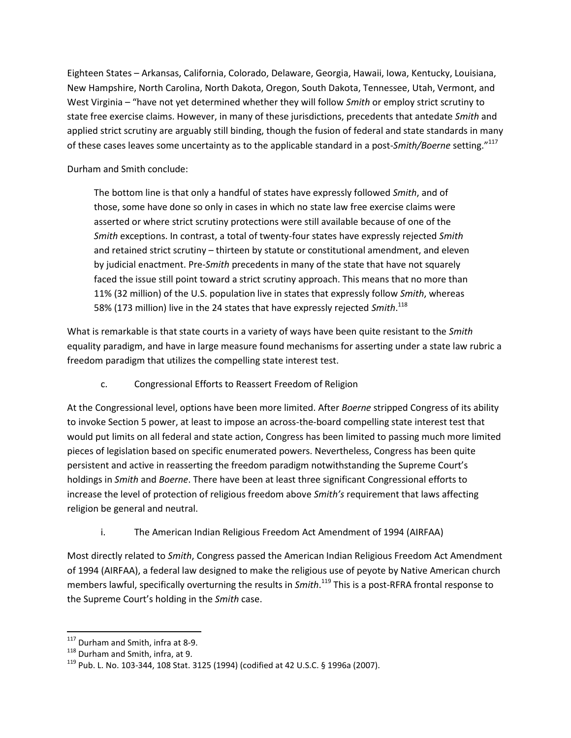Eighteen States – Arkansas, California, Colorado, Delaware, Georgia, Hawaii, Iowa, Kentucky, Louisiana, New Hampshire, North Carolina, North Dakota, Oregon, South Dakota, Tennessee, Utah, Vermont, and West Virginia – "have not yet determined whether they will follow *Smith* or employ strict scrutiny to state free exercise claims. However, in many of these jurisdictions, precedents that antedate *Smith* and applied strict scrutiny are arguably still binding, though the fusion of federal and state standards in many of these cases leaves some uncertainty as to the applicable standard in a post-*Smith/Boerne* setting."<sup>117</sup>

Durham and Smith conclude:

The bottom line is that only a handful of states have expressly followed *Smith*, and of those, some have done so only in cases in which no state law free exercise claims were asserted or where strict scrutiny protections were still available because of one of the *Smith* exceptions. In contrast, a total of twenty-four states have expressly rejected *Smith* and retained strict scrutiny – thirteen by statute or constitutional amendment, and eleven by judicial enactment. Pre-*Smith* precedents in many of the state that have not squarely faced the issue still point toward a strict scrutiny approach. This means that no more than 11% (32 million) of the U.S. population live in states that expressly follow *Smith*, whereas 58% (173 million) live in the 24 states that have expressly rejected *Smith*. 118

What is remarkable is that state courts in a variety of ways have been quite resistant to the *Smith* equality paradigm, and have in large measure found mechanisms for asserting under a state law rubric a freedom paradigm that utilizes the compelling state interest test.

c. Congressional Efforts to Reassert Freedom of Religion

At the Congressional level, options have been more limited. After *Boerne* stripped Congress of its ability to invoke Section 5 power, at least to impose an across-the-board compelling state interest test that would put limits on all federal and state action, Congress has been limited to passing much more limited pieces of legislation based on specific enumerated powers. Nevertheless, Congress has been quite persistent and active in reasserting the freedom paradigm notwithstanding the Supreme Court's holdings in *Smith* and *Boerne*. There have been at least three significant Congressional efforts to increase the level of protection of religious freedom above *Smith's* requirement that laws affecting religion be general and neutral.

i. The American Indian Religious Freedom Act Amendment of 1994 (AIRFAA)

Most directly related to *Smith*, Congress passed the American Indian Religious Freedom Act Amendment of 1994 (AIRFAA), a federal law designed to make the religious use of peyote by Native American church members lawful, specifically overturning the results in *Smith*. <sup>119</sup> This is a post-RFRA frontal response to the Supreme Court's holding in the *Smith* case.

<sup>&</sup>lt;sup>117</sup> Durham and Smith, infra at 8-9.

<sup>&</sup>lt;sup>118</sup> Durham and Smith, infra, at 9.

<sup>119</sup> Pub. L. No. 103-344, 108 Stat. 3125 (1994) (codified at 42 U.S.C. § 1996a (2007).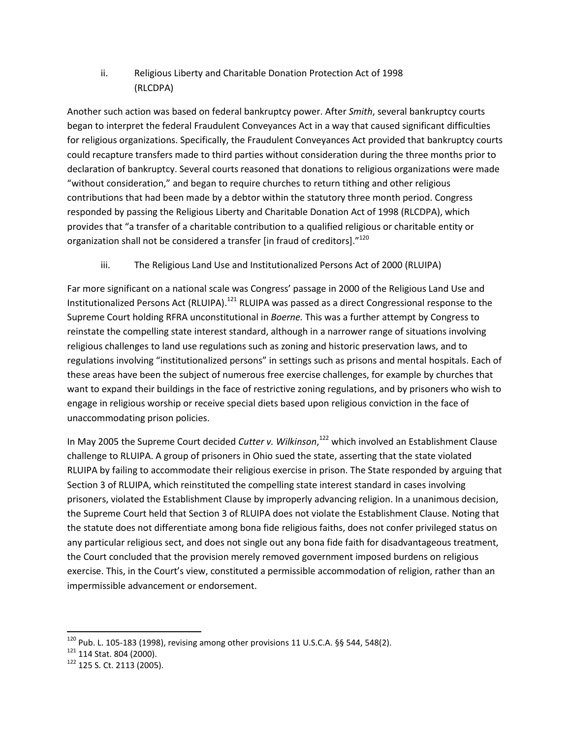# ii. Religious Liberty and Charitable Donation Protection Act of 1998 (RLCDPA)

Another such action was based on federal bankruptcy power. After *Smith*, several bankruptcy courts began to interpret the federal Fraudulent Conveyances Act in a way that caused significant difficulties for religious organizations. Specifically, the Fraudulent Conveyances Act provided that bankruptcy courts could recapture transfers made to third parties without consideration during the three months prior to declaration of bankruptcy. Several courts reasoned that donations to religious organizations were made "without consideration," and began to require churches to return tithing and other religious contributions that had been made by a debtor within the statutory three month period. Congress responded by passing the Religious Liberty and Charitable Donation Act of 1998 (RLCDPA), which provides that "a transfer of a charitable contribution to a qualified religious or charitable entity or organization shall not be considered a transfer [in fraud of creditors]."<sup>120</sup>

## iii. The Religious Land Use and Institutionalized Persons Act of 2000 (RLUIPA)

Far more significant on a national scale was Congress' passage in 2000 of the Religious Land Use and Institutionalized Persons Act (RLUIPA).<sup>121</sup> RLUIPA was passed as a direct Congressional response to the Supreme Court holding RFRA unconstitutional in *Boerne.* This was a further attempt by Congress to reinstate the compelling state interest standard, although in a narrower range of situations involving religious challenges to land use regulations such as zoning and historic preservation laws, and to regulations involving "institutionalized persons" in settings such as prisons and mental hospitals. Each of these areas have been the subject of numerous free exercise challenges, for example by churches that want to expand their buildings in the face of restrictive zoning regulations, and by prisoners who wish to engage in religious worship or receive special diets based upon religious conviction in the face of unaccommodating prison policies.

In May 2005 the Supreme Court decided *Cutter v. Wilkinson*, <sup>122</sup> which involved an Establishment Clause challenge to RLUIPA. A group of prisoners in Ohio sued the state, asserting that the state violated RLUIPA by failing to accommodate their religious exercise in prison. The State responded by arguing that Section 3 of RLUIPA, which reinstituted the compelling state interest standard in cases involving prisoners, violated the Establishment Clause by improperly advancing religion. In a unanimous decision, the Supreme Court held that Section 3 of RLUIPA does not violate the Establishment Clause. Noting that the statute does not differentiate among bona fide religious faiths, does not confer privileged status on any particular religious sect, and does not single out any bona fide faith for disadvantageous treatment, the Court concluded that the provision merely removed government imposed burdens on religious exercise. This, in the Court's view, constituted a permissible accommodation of religion, rather than an impermissible advancement or endorsement.

 $^{120}$  Pub. L. 105-183 (1998), revising among other provisions 11 U.S.C.A. §§ 544, 548(2).

<sup>&</sup>lt;sup>121</sup> 114 Stat. 804 (2000).

<sup>122 125</sup> S. Ct. 2113 (2005).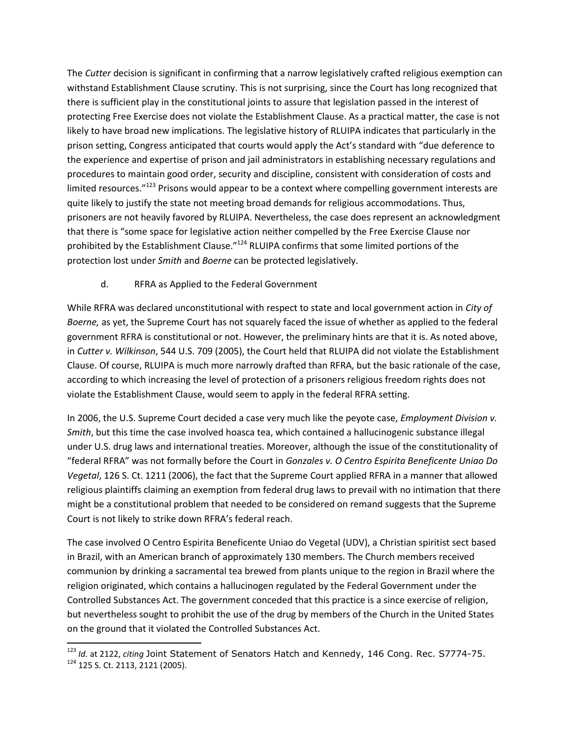The *Cutter* decision is significant in confirming that a narrow legislatively crafted religious exemption can withstand Establishment Clause scrutiny. This is not surprising, since the Court has long recognized that there is sufficient play in the constitutional joints to assure that legislation passed in the interest of protecting Free Exercise does not violate the Establishment Clause. As a practical matter, the case is not likely to have broad new implications. The legislative history of RLUIPA indicates that particularly in the prison setting, Congress anticipated that courts would apply the Act's standard with "due deference to the experience and expertise of prison and jail administrators in establishing necessary regulations and procedures to maintain good order, security and discipline, consistent with consideration of costs and limited resources."<sup>123</sup> Prisons would appear to be a context where compelling government interests are quite likely to justify the state not meeting broad demands for religious accommodations. Thus, prisoners are not heavily favored by RLUIPA. Nevertheless, the case does represent an acknowledgment that there is "some space for legislative action neither compelled by the Free Exercise Clause nor prohibited by the Establishment Clause."<sup>124</sup> RLUIPA confirms that some limited portions of the protection lost under *Smith* and *Boerne* can be protected legislatively.

d. RFRA as Applied to the Federal Government

While RFRA was declared unconstitutional with respect to state and local government action in *City of Boerne,* as yet, the Supreme Court has not squarely faced the issue of whether as applied to the federal government RFRA is constitutional or not. However, the preliminary hints are that it is. As noted above, in *Cutter v. Wilkinson*, 544 U.S. 709 (2005), the Court held that RLUIPA did not violate the Establishment Clause. Of course, RLUIPA is much more narrowly drafted than RFRA, but the basic rationale of the case, according to which increasing the level of protection of a prisoners religious freedom rights does not violate the Establishment Clause, would seem to apply in the federal RFRA setting.

In 2006, the U.S. Supreme Court decided a case very much like the peyote case, *Employment Division v. Smith*, but this time the case involved hoasca tea, which contained a hallucinogenic substance illegal under U.S. drug laws and international treaties. Moreover, although the issue of the constitutionality of "federal RFRA" was not formally before the Court in *Gonzales v. O Centro Espirita Beneficente Uniao Do Vegetal*, 126 S. Ct. 1211 (2006), the fact that the Supreme Court applied RFRA in a manner that allowed religious plaintiffs claiming an exemption from federal drug laws to prevail with no intimation that there might be a constitutional problem that needed to be considered on remand suggests that the Supreme Court is not likely to strike down RFRA's federal reach.

The case involved O Centro Espirita Beneficente Uniao do Vegetal (UDV), a Christian spiritist sect based in Brazil, with an American branch of approximately 130 members. The Church members received communion by drinking a sacramental tea brewed from plants unique to the region in Brazil where the religion originated, which contains a hallucinogen regulated by the Federal Government under the Controlled Substances Act. The government conceded that this practice is a since exercise of religion, but nevertheless sought to prohibit the use of the drug by members of the Church in the United States on the ground that it violated the Controlled Substances Act.

 $\overline{a}$ <sup>123</sup> *Id.* at 2122, *citing* Joint Statement of Senators Hatch and Kennedy, 146 Cong. Rec. S7774-75. 124 125 S. Ct. 2113, 2121 (2005).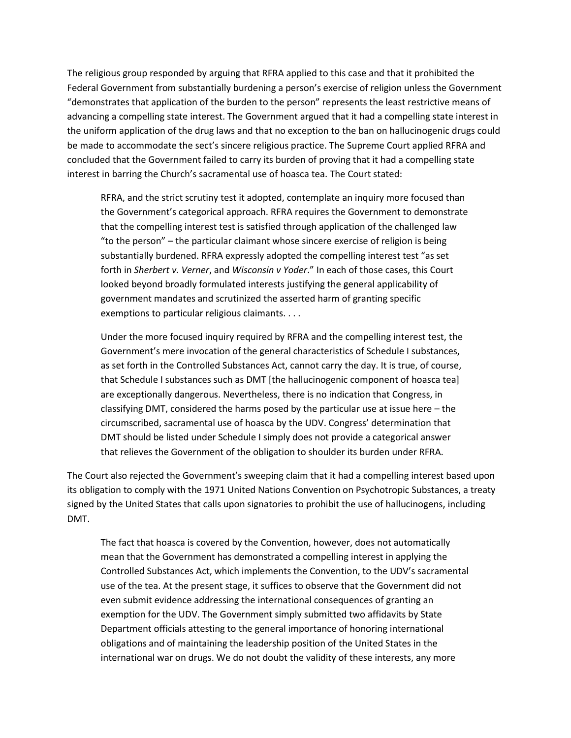The religious group responded by arguing that RFRA applied to this case and that it prohibited the Federal Government from substantially burdening a person's exercise of religion unless the Government "demonstrates that application of the burden to the person" represents the least restrictive means of advancing a compelling state interest. The Government argued that it had a compelling state interest in the uniform application of the drug laws and that no exception to the ban on hallucinogenic drugs could be made to accommodate the sect's sincere religious practice. The Supreme Court applied RFRA and concluded that the Government failed to carry its burden of proving that it had a compelling state interest in barring the Church's sacramental use of hoasca tea. The Court stated:

RFRA, and the strict scrutiny test it adopted, contemplate an inquiry more focused than the Government's categorical approach. RFRA requires the Government to demonstrate that the compelling interest test is satisfied through application of the challenged law "to the person" – the particular claimant whose sincere exercise of religion is being substantially burdened. RFRA expressly adopted the compelling interest test "as set forth in *Sherbert v. Verner*, and *Wisconsin v Yoder*." In each of those cases, this Court looked beyond broadly formulated interests justifying the general applicability of government mandates and scrutinized the asserted harm of granting specific exemptions to particular religious claimants. . . .

Under the more focused inquiry required by RFRA and the compelling interest test, the Government's mere invocation of the general characteristics of Schedule I substances, as set forth in the Controlled Substances Act, cannot carry the day. It is true, of course, that Schedule I substances such as DMT [the hallucinogenic component of hoasca tea] are exceptionally dangerous. Nevertheless, there is no indication that Congress, in classifying DMT, considered the harms posed by the particular use at issue here – the circumscribed, sacramental use of hoasca by the UDV. Congress' determination that DMT should be listed under Schedule I simply does not provide a categorical answer that relieves the Government of the obligation to shoulder its burden under RFRA.

The Court also rejected the Government's sweeping claim that it had a compelling interest based upon its obligation to comply with the 1971 United Nations Convention on Psychotropic Substances, a treaty signed by the United States that calls upon signatories to prohibit the use of hallucinogens, including DMT.

The fact that hoasca is covered by the Convention, however, does not automatically mean that the Government has demonstrated a compelling interest in applying the Controlled Substances Act, which implements the Convention, to the UDV's sacramental use of the tea. At the present stage, it suffices to observe that the Government did not even submit evidence addressing the international consequences of granting an exemption for the UDV. The Government simply submitted two affidavits by State Department officials attesting to the general importance of honoring international obligations and of maintaining the leadership position of the United States in the international war on drugs. We do not doubt the validity of these interests, any more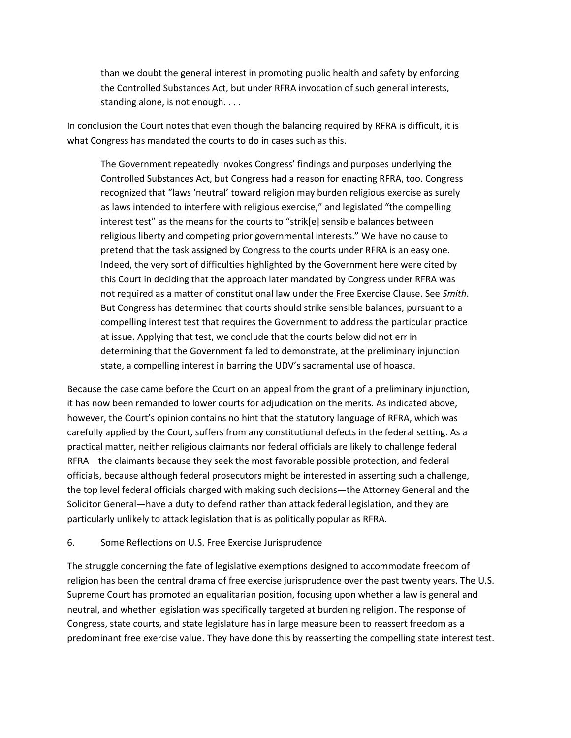than we doubt the general interest in promoting public health and safety by enforcing the Controlled Substances Act, but under RFRA invocation of such general interests, standing alone, is not enough. . . .

In conclusion the Court notes that even though the balancing required by RFRA is difficult, it is what Congress has mandated the courts to do in cases such as this.

The Government repeatedly invokes Congress' findings and purposes underlying the Controlled Substances Act, but Congress had a reason for enacting RFRA, too. Congress recognized that "laws 'neutral' toward religion may burden religious exercise as surely as laws intended to interfere with religious exercise," and legislated "the compelling interest test" as the means for the courts to "strik[e] sensible balances between religious liberty and competing prior governmental interests." We have no cause to pretend that the task assigned by Congress to the courts under RFRA is an easy one. Indeed, the very sort of difficulties highlighted by the Government here were cited by this Court in deciding that the approach later mandated by Congress under RFRA was not required as a matter of constitutional law under the Free Exercise Clause. See *Smith*. But Congress has determined that courts should strike sensible balances, pursuant to a compelling interest test that requires the Government to address the particular practice at issue. Applying that test, we conclude that the courts below did not err in determining that the Government failed to demonstrate, at the preliminary injunction state, a compelling interest in barring the UDV's sacramental use of hoasca.

Because the case came before the Court on an appeal from the grant of a preliminary injunction, it has now been remanded to lower courts for adjudication on the merits. As indicated above, however, the Court's opinion contains no hint that the statutory language of RFRA, which was carefully applied by the Court, suffers from any constitutional defects in the federal setting. As a practical matter, neither religious claimants nor federal officials are likely to challenge federal RFRA—the claimants because they seek the most favorable possible protection, and federal officials, because although federal prosecutors might be interested in asserting such a challenge, the top level federal officials charged with making such decisions—the Attorney General and the Solicitor General—have a duty to defend rather than attack federal legislation, and they are particularly unlikely to attack legislation that is as politically popular as RFRA.

#### 6. Some Reflections on U.S. Free Exercise Jurisprudence

The struggle concerning the fate of legislative exemptions designed to accommodate freedom of religion has been the central drama of free exercise jurisprudence over the past twenty years. The U.S. Supreme Court has promoted an equalitarian position, focusing upon whether a law is general and neutral, and whether legislation was specifically targeted at burdening religion. The response of Congress, state courts, and state legislature has in large measure been to reassert freedom as a predominant free exercise value. They have done this by reasserting the compelling state interest test.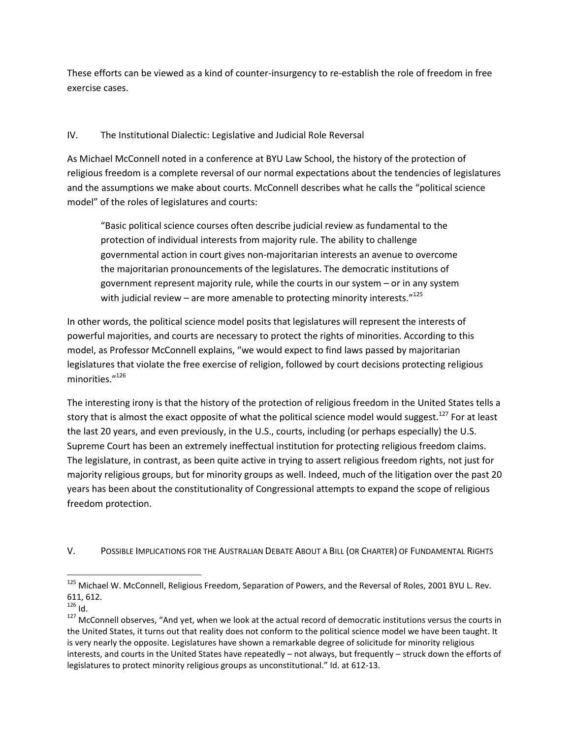These efforts can be viewed as a kind of counter-insurgency to re-establish the role of freedom in free exercise cases.

### IV. The Institutional Dialectic: Legislative and Judicial Role Reversal

As Michael McConnell noted in a conference at BYU Law School, the history of the protection of religious freedom is a complete reversal of our normal expectations about the tendencies of legislatures and the assumptions we make about courts. McConnell describes what he calls the "political science model" of the roles of legislatures and courts:

"Basic political science courses often describe judicial review as fundamental to the protection of individual interests from majority rule. The ability to challenge governmental action in court gives non-majoritarian interests an avenue to overcome the majoritarian pronouncements of the legislatures. The democratic institutions of government represent majority rule, while the courts in our system – or in any system with judicial review – are more amenable to protecting minority interests. $"^{125}$ 

In other words, the political science model posits that legislatures will represent the interests of powerful majorities, and courts are necessary to protect the rights of minorities. According to this model, as Professor McConnell explains, "we would expect to find laws passed by majoritarian legislatures that violate the free exercise of religion, followed by court decisions protecting religious minorities."<sup>126</sup>

The interesting irony is that the history of the protection of religious freedom in the United States tells a story that is almost the exact opposite of what the political science model would suggest.<sup>127</sup> For at least the last 20 years, and even previously, in the U.S., courts, including (or perhaps especially) the U.S. Supreme Court has been an extremely ineffectual institution for protecting religious freedom claims. The legislature, in contrast, as been quite active in trying to assert religious freedom rights, not just for majority religious groups, but for minority groups as well. Indeed, much of the litigation over the past 20 years has been about the constitutionality of Congressional attempts to expand the scope of religious freedom protection.

V. POSSIBLE IMPLICATIONS FOR THE AUSTRALIAN DEBATE ABOUT A BILL (OR CHARTER) OF FUNDAMENTAL RIGHTS

<sup>&</sup>lt;sup>125</sup> Michael W. McConnell, Religious Freedom, Separation of Powers, and the Reversal of Roles, 2001 BYU L. Rev. 611, 612.

 $126$  Id.

<sup>&</sup>lt;sup>127</sup> McConnell observes, "And yet, when we look at the actual record of democratic institutions versus the courts in the United States, it turns out that reality does not conform to the political science model we have been taught. It is very nearly the opposite. Legislatures have shown a remarkable degree of solicitude for minority religious interests, and courts in the United States have repeatedly – not always, but frequently – struck down the efforts of legislatures to protect minority religious groups as unconstitutional." Id. at 612-13.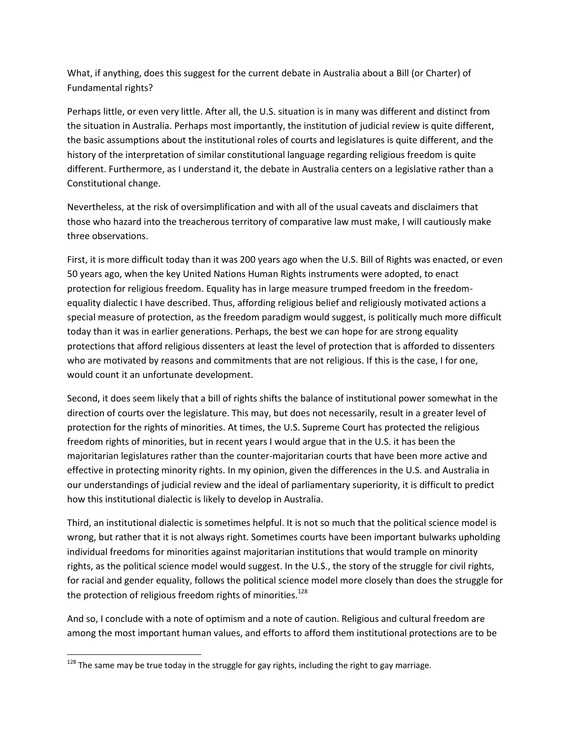What, if anything, does this suggest for the current debate in Australia about a Bill (or Charter) of Fundamental rights?

Perhaps little, or even very little. After all, the U.S. situation is in many was different and distinct from the situation in Australia. Perhaps most importantly, the institution of judicial review is quite different, the basic assumptions about the institutional roles of courts and legislatures is quite different, and the history of the interpretation of similar constitutional language regarding religious freedom is quite different. Furthermore, as I understand it, the debate in Australia centers on a legislative rather than a Constitutional change.

Nevertheless, at the risk of oversimplification and with all of the usual caveats and disclaimers that those who hazard into the treacherous territory of comparative law must make, I will cautiously make three observations.

First, it is more difficult today than it was 200 years ago when the U.S. Bill of Rights was enacted, or even 50 years ago, when the key United Nations Human Rights instruments were adopted, to enact protection for religious freedom. Equality has in large measure trumped freedom in the freedomequality dialectic I have described. Thus, affording religious belief and religiously motivated actions a special measure of protection, as the freedom paradigm would suggest, is politically much more difficult today than it was in earlier generations. Perhaps, the best we can hope for are strong equality protections that afford religious dissenters at least the level of protection that is afforded to dissenters who are motivated by reasons and commitments that are not religious. If this is the case, I for one, would count it an unfortunate development.

Second, it does seem likely that a bill of rights shifts the balance of institutional power somewhat in the direction of courts over the legislature. This may, but does not necessarily, result in a greater level of protection for the rights of minorities. At times, the U.S. Supreme Court has protected the religious freedom rights of minorities, but in recent years I would argue that in the U.S. it has been the majoritarian legislatures rather than the counter-majoritarian courts that have been more active and effective in protecting minority rights. In my opinion, given the differences in the U.S. and Australia in our understandings of judicial review and the ideal of parliamentary superiority, it is difficult to predict how this institutional dialectic is likely to develop in Australia.

Third, an institutional dialectic is sometimes helpful. It is not so much that the political science model is wrong, but rather that it is not always right. Sometimes courts have been important bulwarks upholding individual freedoms for minorities against majoritarian institutions that would trample on minority rights, as the political science model would suggest. In the U.S., the story of the struggle for civil rights, for racial and gender equality, follows the political science model more closely than does the struggle for the protection of religious freedom rights of minorities.<sup>128</sup>

And so, I conclude with a note of optimism and a note of caution. Religious and cultural freedom are among the most important human values, and efforts to afford them institutional protections are to be

 $128$  The same may be true today in the struggle for gay rights, including the right to gay marriage.